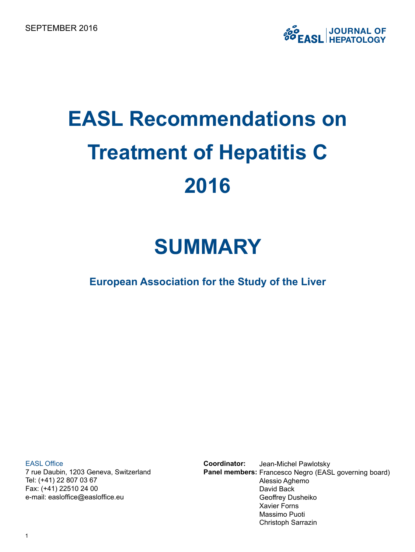# **EASL Recommendations on Treatment of Hepatitis C 2016**

## **SUMMARY**

**European Association for the Study of the Liver**

EASL Office

7 rue Daubin, 1203 Geneva, Switzerland Tel: (+41) 22 807 03 67 Fax: (+41) 22510 24 00 e-mail: easloffice@easloffice.eu

Jean-Michel Pawlotsky Panel members: Francesco Negro (EASL governing board) Alessio Aghemo David Back Geoffrey Dusheiko Xavier Forns Massimo Puoti Christoph Sarrazin **Coordinator:**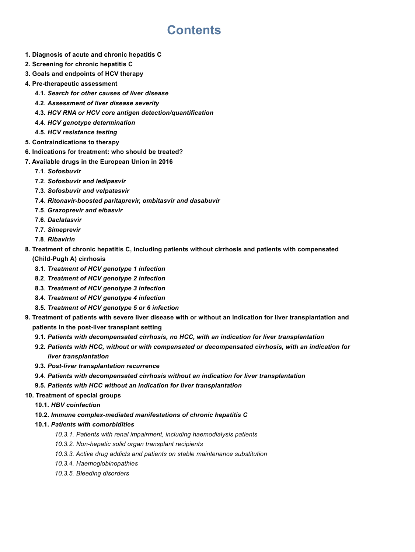## **Contents**

- **1. Diagnosis of acute and chronic hepatitis C**
- **2. Screening for chronic hepatitis C**
- **3. Goals and endpoints of HCV therapy**
- **4. Pre-therapeutic assessment**
	- **4.1.** *Search for other causes of liver disease*
	- **4.2***. Assessment of liver disease severity*
	- **4.3.** *HCV RNA or HCV core antigen detection/quantification*
	- **4.4**. *HCV genotype determination*
	- **4.5.** *HCV resistance testing*
- **5. Contraindications to therapy**
- **6. Indications for treatment: who should be treated?**
- **7. Available drugs in the European Union in 2016**
	- **7.1**. *Sofosbuvir*
	- **7.2**. *Sofosbuvir and ledipasvir*
	- **7.3**. *Sofosbuvir and velpatasvir*
	- **7.4**. *Ritonavir-boosted paritaprevir, ombitasvir and dasabuvir*
	- **7.5**. *Grazoprevir and elbasvir*
	- **7.6**. *Daclatasvir*
	- **7.7**. *Simeprevir*
	- **7.8**. *Ribavirin*
- **8. Treatment of chronic hepatitis C, including patients without cirrhosis and patients with compensated (Child-Pugh A) cirrhosis**
	- **8.1***. Treatment of HCV genotype 1 infection*
	- **8.2***. Treatment of HCV genotype 2 infection*
	- **8.3***. Treatment of HCV genotype 3 infection*
	- **8.4***. Treatment of HCV genotype 4 infection*
	- **8.5.** *Treatment of HCV genotype 5 or 6 infection*
- **9. Treatment of patients with severe liver disease with or without an indication for liver transplantation and patients in the post-liver transplant setting**
	- **9.1.** *Patients with decompensated cirrhosis, no HCC, with an indication for liver transplantation*
	- **9.2.** *Patients with HCC, without or with compensated or decompensated cirrhosis, with an indication for liver transplantation*
	- **9.3.** *Post-liver transplantation recurrence*
	- **9.4**. *Patients with decompensated cirrhosis without an indication for liver transplantation*
	- **9.5.** *Patients with HCC without an indication for liver transplantation*

#### **10. Treatment of special groups**

- **10.1***. HBV coinfection*
- **10.2.** *Immune complex-mediated manifestations of chronic hepatitis C*
- **10.1.** *Patients with comorbidities*
	- *10.3.1. Patients with renal impairment, including haemodialysis patients*
	- *10.3.2. Non-hepatic solid organ transplant recipients*
	- *10.3.3. Active drug addicts and patients on stable maintenance substitution*
	- *10.3.4. Haemoglobinopathies*
	- *10.3.5. Bleeding disorders*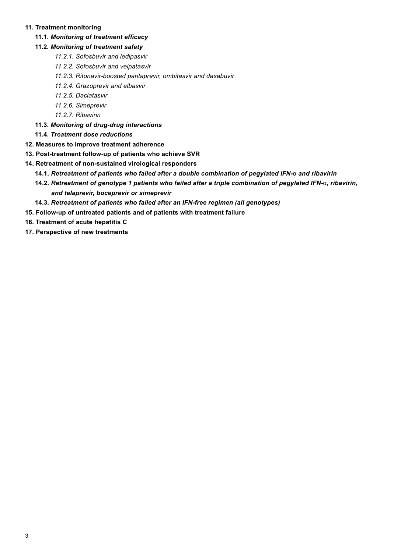#### **11. Treatment monitoring**

#### **11.1***. Monitoring of treatment efficacy*

#### **11.2***. Monitoring of treatment safety*

- *11.2.1. Sofosbuvir and ledipasvir*
- *11.2.2. Sofosbuvir and velpatasvir*
- *11.2.3. Ritonavir-boosted paritaprevir, ombitasvir and dasabuvir*
- *11.2.4. Grazoprevir and elbasvir*
- *11.2.5. Daclatasvir*
- *11.2.6. Simeprevir*
- *11.2.7. Ribavirin*
- **11.3.** *Monitoring of drug-drug interactions*
- **11.4.** *Treatment dose reductions*
- **12. Measures to improve treatment adherence**
- **13. Post-treatment follow-up of patients who achieve SVR**
- **14. Retreatment of non-sustained virological responders**
	- **14.1***. Retreatment of patients who failed after a double combination of pegylated IFN-*α *and ribavirin*
	- **14.2***. Retreatment of genotype 1 patients who failed after a triple combination of pegylated IFN-*α*, ribavirin, and telaprevir, boceprevir or simeprevir*
	- **14.3***. Retreatment of patients who failed after an IFN-free regimen (all genotypes)*
- **15. Follow-up of untreated patients and of patients with treatment failure**
- **16. Treatment of acute hepatitis C**
- **17. Perspective of new treatments**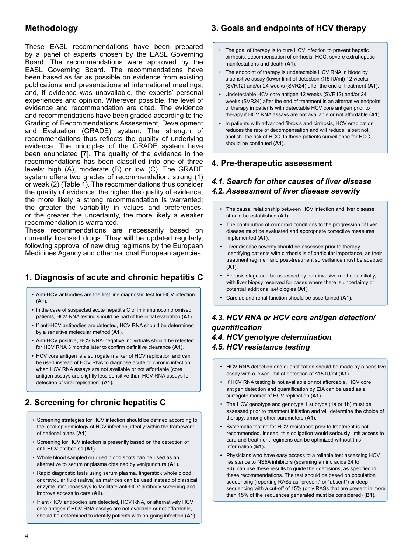#### **Methodology**

These EASL recommendations have been prepared by a panel of experts chosen by the EASL Governing Board. The recommendations were approved by the EASL Governing Board. The recommendations have been based as far as possible on evidence from existing publications and presentations at international meetings, and, if evidence was unavailable, the experts' personal experiences and opinion. Wherever possible, the level of evidence and recommendation are cited. The evidence and recommendations have been graded according to the Grading of Recommendations Assessment, Development and Evaluation (GRADE) system. The strength of recommendations thus reflects the quality of underlying evidence. The principles of the GRADE system have been enunciated [7]. The quality of the evidence in the recommendations has been classified into one of three levels: high (A), moderate (B) or low (C). The GRADE system offers two grades of recommendation: strong (1) or weak (2) (Table 1). The recommendations thus consider the quality of evidence: the higher the quality of evidence, the more likely a strong recommendation is warranted; the greater the variability in values and preferences, or the greater the uncertainty, the more likely a weaker recommendation is warranted.

These recommendations are necessarily based on currently licensed drugs. They will be updated regularly, following approval of new drug regimens by the European Medicines Agency and other national European agencies.

## **1. Diagnosis of acute and chronic hepatitis C**

- Anti-HCV antibodies are the first line diagnostic test for HCV infection (**A1**).
- In the case of suspected acute hepatitis C or in immunocompromised patients, HCV RNA testing should be part of the initial evaluation (**A1**).
- If anti-HCV antibodies are detected, HCV RNA should be determined by a sensitive molecular method (**A1**).
- Anti-HCV positive, HCV RNA-negative individuals should be retested for HCV RNA 3 months later to confirm definitive clearance (**A1**).
- HCV core antigen is a surrogate marker of HCV replication and can be used instead of HCV RNA to diagnose acute or chronic infection when HCV RNA assays are not available or not affordable (core antigen assays are slightly less sensitive than HCV RNA assays for detection of viral replication) (**A1**).

## **2. Screening for chronic hepatitis C**

- Screening strategies for HCV infection should be defined according to the local epidemiology of HCV infection, ideally within the framework of national plans (**A1**).
- Screening for HCV infection is presently based on the detection of anti-HCV antibodies (**A1**).
- Whole blood sampled on dried blood spots can be used as an alternative to serum or plasma obtained by venipuncture (**A1**).
- Rapid diagnostic tests using serum plasma, fingerstick whole blood or crevicular fluid (saliva) as matrices can be used instead of classical enzyme immunoassays to facilitate anti-HCV antibody screening and improve access to care (**A1**).
- If anti-HCV antibodies are detected, HCV RNA, or alternatively HCV core antigen if HCV RNA assays are not available or not affordable, should be determined to identify patients with on-going infection (**A1**).

## **3. Goals and endpoints of HCV therapy**

- The goal of therapy is to cure HCV infection to prevent hepatic cirrhosis, decompensation of cirrhosis, HCC, severe extrahepatic manifestations and death (**A1**).
- The endpoint of therapy is undetectable HCV RNA in blood by a sensitive assay (lower limit of detection ≤15 IU/ml) 12 weeks (SVR12) and/or 24 weeks (SVR24) after the end of treatment (**A1**).
- Undetectable HCV core antigen 12 weeks (SVR12) and/or 24 weeks (SVR24) after the end of treatment is an alternative endpoint of therapy in patients with detectable HCV core antigen prior to therapy if HCV RNA assays are not available or not affordable (**A1**).
- In patients with advanced fibrosis and cirrhosis, HCV eradication reduces the rate of decompensation and will reduce, albeit not abolish, the risk of HCC. In these patients surveillance for HCC should be continued (**A1**).

#### **4. Pre-therapeutic assessment**

#### *4.1. Search for other causes of liver disease 4.2. Assessment of liver disease severity*

- The causal relationship between HCV infection and liver disease should be established (**A1**).
- The contribution of comorbid conditions to the progression of liver disease must be evaluated and appropriate corrective measures implemented (**A1**).
- Liver disease severity should be assessed prior to therapy. Identifying patients with cirrhosis is of particular importance, as their treatment regimen and post-treatment surveillance must be adapted (**A1**).
- Fibrosis stage can be assessed by non-invasive methods initially, with liver biopsy reserved for cases where there is uncertainty or potential additional aetiologies (**A1**).
- Cardiac and renal function should be ascertained (**A1**).

## *4.3. HCV RNA or HCV core antigen detection/ quantification*

#### *4.4. HCV genotype determination 4.5. HCV resistance testing*

- HCV RNA detection and quantification should be made by a sensitive assay with a lower limit of detection of ≤15 IU/ml (**A1**).
- If HCV RNA testing is not available or not affordable, HCV core antigen detection and quantification by EIA can be used as a surrogate marker of HCV replication (**A1**).
- The HCV genotype and genotype 1 subtype (1a or 1b) must be assessed prior to treatment initiation and will determine the choice of therapy, among other parameters (**A1**).
- Systematic testing for HCV resistance prior to treatment is not recommended. Indeed, this obligation would seriously limit access to care and treatment regimens can be optimized without this information (**B1**).
- Physicians who have easy access to a reliable test assessing HCV resistance to NS5A inhibitors (spanning amino acids 24 to 93) can use these results to guide their decisions, as specified in these recommendations. The test should be based on population sequencing (reporting RASs as "present" or "absent") or deep sequencing with a cut-off of 15% (only RASs that are present in more than 15% of the sequences generated must be considered) (**B1**).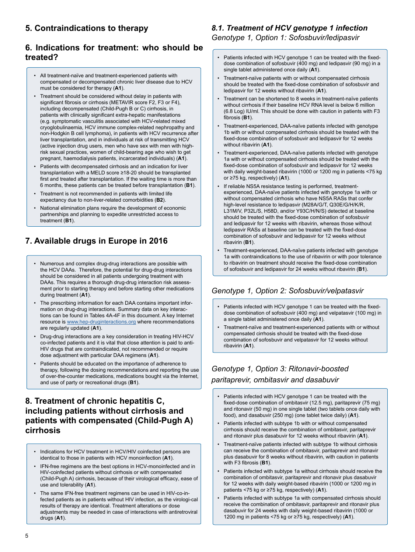## **5. Contraindications to therapy**

#### **6. Indications for treatment: who should be treated?**

- All treatment-naïve and treatment-experienced patients with compensated or decompensated chronic liver disease due to HCV must be considered for therapy (**A1**).
- Treatment should be considered without delay in patients with significant fibrosis or cirrhosis (METAVIR score F2, F3 or F4), including decompensated (Child-Pugh B or C) cirrhosis, in patients with clinically significant extra-hepatic manifestations (e.g. symptomatic vasculitis associated with HCV-related mixed cryoglobulinaemia, HCV immune complex-related nephropathy and non-Hodgkin B cell lymphoma), in patients with HCV recurrence after liver transplantation, and in individuals at risk of transmitting HCV (active injection drug users, men who have sex with men with highrisk sexual practices, women of child-bearing age who wish to get pregnant, haemodialysis patients, incarcerated individuals) (**A1**).
- Patients with decompensated cirrhosis and an indication for liver transplantation with a MELD score ≥18-20 should be transplanted first and treated after transplantation. If the waiting time is more than 6 months, these patients can be treated before transplantation (**B1**).
- Treatment is not recommended in patients with limited life expectancy due to non-liver-related comorbidities (**B2**).
- National elimination plans require the development of economic partnerships and planning to expedite unrestricted access to treatment (**B1**).

## **7. Available drugs in Europe in 2016**

- Numerous and complex drug-drug interactions are possible with the HCV DAAs. Therefore, the potential for drug-drug interactions should be considered in all patients undergoing treatment with DAAs. This requires a thorough drug-drug interaction risk assessment prior to starting therapy and before starting other medications during treatment (**A1**).
- The prescribing information for each DAA contains important information on drug-drug interactions. Summary data on key interactions can be found in Tables 4A-4F in this document. A key Internet resource is www.hep-druginteractions.org where recommendations are regularly updated (**A1**).
- Drug-drug interactions are a key consideration in treating HIV-HCV co-infected patients and it is vital that close attention is paid to anti-HIV drugs that are contraindicated, not recommended or require dose adjustment with particular DAA regimens (**A1**).
- Patients should be educated on the importance of adherence to therapy, following the dosing recommendations and reporting the use of over-the-counter medications, medications bought via the Internet, and use of party or recreational drugs (**B1**).

#### **8. Treatment of chronic hepatitis C, including patients without cirrhosis and patients with compensated (Child-Pugh A) cirrhosis**

- Indications for HCV treatment in HCV/HIV coinfected persons are identical to those in patients with HCV monoinfection (**A1**).
- IFN-free regimens are the best options in HCV-monoinfected and in HIV-coinfected patients without cirrhosis or with compensated (Child-Pugh A) cirrhosis, because of their virological efficacy, ease of use and tolerability (**A1**).
- The same IFN-free treatment regimens can be used in HIV-co-infected patients as in patients without HIV infection, as the virologi-cal results of therapy are identical. Treatment alterations or dose adjustments may be needed in case of interactions with antiretroviral drugs (**A1**).

#### *8.1. Treatment of HCV genotype 1 infection Genotype 1, Option 1: Sofosbuvir/ledipasvir*

- Patients infected with HCV genotype 1 can be treated with the fixeddose combination of sofosbuvir (400 mg) and ledipasvir (90 mg) in a single tablet administered once daily (**A1**).
- Treatment-naïve patients with or without compensated cirrhosis should be treated with the fixed-dose combination of sofosbuvir and ledipasvir for 12 weeks without ribavirin (**A1**).
- Treatment can be shortened to 8 weeks in treatment-naïve patients without cirrhosis if their baseline HCV RNA level is below 6 million (6.8 Log) IU/ml. This should be done with caution in patients with F3 fibrosis (**B1**).
- Treatment-experienced, DAA-naïve patients infected with genotype 1b with or without compensated cirrhosis should be treated with the fixed-dose combination of sofosbuvir and ledipasvir for 12 weeks without ribavirin (**A1**).
- Treatment-experienced, DAA-naïve patients infected with genotype 1a with or without compensated cirrhosis should be treated with the fixed-dose combination of sofosbuvir and ledipasvir for 12 weeks with daily weight-based ribavirin (1000 or 1200 mg in patients <75 kg or ≥75 kg, respectively) (**A1**).
- If reliable NS5A resistance testing is performed, treatmentexperienced, DAA-naïve patients infected with genotype 1a with or without compensated cirrhosis who have NS5A RASs that confer high-level resistance to ledipasvir (M28A/G/T, Q30E/G/H/K/R, L31M/V, P32L/S, H58D, and/or Y93C/H/N/S) detected at baseline should be treated with the fixed-dose combination of sofosbuvir and ledipasvir for 12 weeks with ribavirin, whereas those without ledipasvir RASs at baseline can be treated with the fixed-dose combination of sofosbuvir and ledipasvir for 12 weeks without ribavirin (**B1**).
- Treatment-experienced, DAA-naïve patients infected with genotype 1a with contraindications to the use of ribavirin or with poor tolerance to ribavirin on treatment should receive the fixed-dose combination of sofosbuvir and ledipasvir for 24 weeks without ribavirin (**B1**).

#### *Genotype 1, Option 2: Sofosbuvir/velpatasvir*

- Patients infected with HCV genotype 1 can be treated with the fixeddose combination of sofosbuvir (400 mg) and velpatasvir (100 mg) in a single tablet administered once daily (**A1**).
- Treatment-naïve and treatment-experienced patients with or without compensated cirrhosis should be treated with the fixed-dose combination of sofosbuvir and velpatasvir for 12 weeks without ribavirin (**A1**).

### *Genotype 1, Option 3: Ritonavir-boosted paritaprevir, ombitasvir and dasabuvir*

- Patients infected with HCV genotype 1 can be treated with the fixed-dose combination of ombitasvir (12.5 mg), paritaprevir (75 mg) and ritonavir (50 mg) in one single tablet (two tablets once daily with food), and dasabuvir (250 mg) (one tablet twice daily) (**A1**).
- Patients infected with subtype 1b with or without compensated cirrhosis should receive the combination of ombitasvir, paritaprevir and ritonavir plus dasabuvir for 12 weeks without ribavirin (**A1**).
- Treatment-naïve patients infected with subtype 1b without cirrhosis can receive the combination of ombitasvir, paritaprevir and ritonavir plus dasabuvir for 8 weeks without ribavirin, with caution in patients with F3 fibrosis (**B1**).
- Patients infected with subtype 1a without cirrhosis should receive the combination of ombitasvir, paritaprevir and ritonavir plus dasabuvir for 12 weeks with daily weight-based ribavirin (1000 or 1200 mg in patients <75 kg or ≥75 kg, respectively) (**A1**).
- Patients infected with subtype 1a with compensated cirrhosis should receive the combination of ombitasvir, paritaprevir and ritonavir plus dasabuvir for 24 weeks with daily weight-based ribavirin (1000 or 1200 mg in patients <75 kg or ≥75 kg, respectively) (**A1**).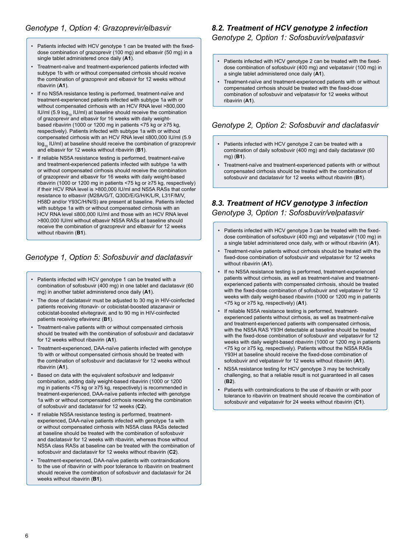- Patients infected with HCV genotype 1 can be treated with the fixeddose combination of grazoprevir (100 mg) and elbasvir (50 mg) in a single tablet administered once daily (**A1**).
- Treatment-naïve and treatment-experienced patients infected with subtype 1b with or without compensated cirrhosis should receive the combination of grazoprevir and elbasvir for 12 weeks without ribavirin (**A1**).
- If no NS5A resistance testing is performed, treatment-naïve and treatment-experienced patients infected with subtype 1a with or without compensated cirrhosis with an HCV RNA level >800,000 IU/ml (5.9  $log_{10}$  IU/ml) at baseline should receive the combination of grazoprevir and elbasvir for 16 weeks with daily weightbased ribavirin (1000 or 1200 mg in patients <75 kg or ≥75 kg, respectively). Patients infected with subtype 1a with or without compensated cirrhosis with an HCV RNA level ≤800,000 IU/ml (5.9 log<sub>10</sub> IU/ml) at baseline should receive the combination of grazoprevir and elbasvir for 12 weeks without ribavirin (**B1**).
- If reliable NS5A resistance testing is performed, treatment-naïve and treatment-experienced patients infected with subtype 1a with or without compensated cirrhosis should receive the combination of grazoprevir and elbasvir for 16 weeks with daily weight-based ribavirin (1000 or 1200 mg in patients <75 kg or ≥75 kg, respectively) if their HCV RNA level is >800,000 IU/ml and NS5A RASs that confer resistance to elbasvir (M28A/G/T, Q30D/E/G/H/K/L/R, L31F/M/V, H58D and/or Y93C/H/N/S) are present at baseline. Patients infected with subtype 1a with or without compensated cirrhosis with an HCV RNA level ≤800,000 IU/ml and those with an HCV RNA level >800,000 IU/ml without elbasvir NS5A RASs at baseline should receive the combination of grazoprevir and elbasvir for 12 weeks without ribavirin (**B1**).

#### *Genotype 1, Option 5: Sofosbuvir and daclatasvir*

- Patients infected with HCV genotype 1 can be treated with a combination of sofosbuvir (400 mg) in one tablet and daclatasvir (60 mg) in another tablet administered once daily (**A1**).
- The dose of daclatasvir must be adjusted to 30 mg in HIV-coinfected patients receiving ritonavir- or cobicistat-boosted atazanavir or cobicistat-boosted elvitegravir, and to 90 mg in HIV-coinfected patients receiving efavirenz (**B1**).
- Treatment-naïve patients with or without compensated cirrhosis should be treated with the combination of sofosbuvir and daclatasvir for 12 weeks without ribavirin (**A1**).
- Treatment-experienced, DAA-naïve patients infected with genotype 1b with or without compensated cirrhosis should be treated with the combination of sofosbuvir and daclatasvir for 12 weeks without ribavirin (**A1**).
- Based on data with the equivalent sofosbuvir and ledipasvir combination, adding daily weight-based ribavirin (1000 or 1200 mg in patients <75 kg or ≥75 kg, respectively) is recommended in treatment-experienced, DAA-naïve patients infected with genotype 1a with or without compensated cirrhosis receiving the combination of sofosbuvir and daclatasvir for 12 weeks (**C2**).
- If reliable NS5A resistance testing is performed, treatmentexperienced, DAA-naïve patients infected with genotype 1a with or without compensated cirrhosis with NS5A class RASs detected at baseline should be treated with the combination of sofosbuvir and daclatasvir for 12 weeks with ribavirin, whereas those without NS5A class RASs at baseline can be treated with the combination of sofosbuvir and daclatasvir for 12 weeks without ribavirin (**C2**).
- Treatment-experienced, DAA-naïve patients with contraindications to the use of ribavirin or with poor tolerance to ribavirin on treatment should receive the combination of sofosbuvir and daclatasvir for 24 weeks without ribavirin (**B1**).

#### *8.2. Treatment of HCV genotype 2 infection Genotype 2, Option 1: Sofosbuvir/velpatasvir*

- Patients infected with HCV genotype 2 can be treated with the fixeddose combination of sofosbuvir (400 mg) and velpatasvir (100 mg) in a single tablet administered once daily (**A1**).
- Treatment-naïve and treatment-experienced patients with or without compensated cirrhosis should be treated with the fixed-dose combination of sofosbuvir and velpatasvir for 12 weeks without ribavirin (**A1**).

#### *Genotype 2, Option 2: Sofosbuvir and daclatasvir*

- Patients infected with HCV genotype 2 can be treated with a combination of daily sofosbuvir (400 mg) and daily daclatasvir (60 mg) (**B1**).
- Treatment-naïve and treatment-experienced patients with or without compensated cirrhosis should be treated with the combination of sofosbuvir and daclatasvir for 12 weeks without ribavirin (**B1**).

## *8.3. Treatment of HCV genotype 3 infection*

*Genotype 3, Option 1: Sofosbuvir/velpatasvir*

- Patients infected with HCV genotype 3 can be treated with the fixeddose combination of sofosbuvir (400 mg) and velpatasvir (100 mg) in a single tablet administered once daily, with or without ribavirin (**A1**).
- Treatment-naïve patients without cirrhosis should be treated with the fixed-dose combination of sofosbuvir and velpatasvir for 12 weeks without ribavirin (**A1**).
- If no NS5A resistance testing is performed, treatment-experienced patients without cirrhosis, as well as treatment-naïve and treatmentexperienced patients with compensated cirrhosis, should be treated with the fixed-dose combination of sofosbuvir and velpatasvir for 12 weeks with daily weight-based ribavirin (1000 or 1200 mg in patients <75 kg or ≥75 kg, respectively) (**A1**).
- If reliable NS5A resistance testing is performed, treatmentexperienced patients without cirrhosis, as well as treatment-naïve and treatment-experienced patients with compensated cirrhosis, with the NS5A RAS Y93H detectable at baseline should be treated with the fixed-dose combination of sofosbuvir and velpatasvir for 12 weeks with daily weight-based ribavirin (1000 or 1200 mg in patients <75 kg or ≥75 kg, respectively). Patients without the NS5A RASs Y93H at baseline should receive the fixed-dose combination of sofosbuvir and velpatasvir for 12 weeks without ribavirin (**A1**).
- NS5A resistance testing for HCV genotype 3 may be technically challenging, so that a reliable result is not guaranteed in all cases (**B2**).
- Patients with contraindications to the use of ribavirin or with poor tolerance to ribavirin on treatment should receive the combination of sofosbuvir and velpatasvir for 24 weeks without ribavirin (**C1**).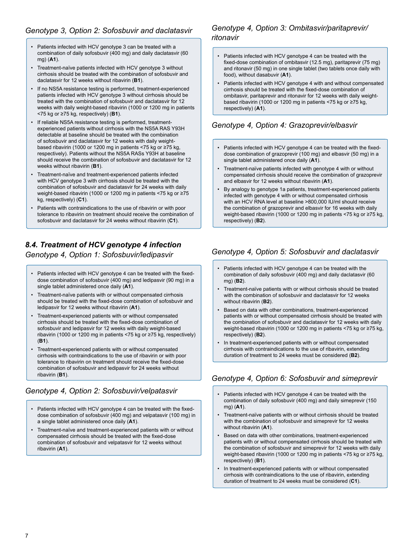#### *Genotype 3, Option 2: Sofosbuvir and daclatasvir*

- Patients infected with HCV genotype 3 can be treated with a combination of daily sofosbuvir (400 mg) and daily daclatasvir (60 mg) (**A1**).
- Treatment-naïve patients infected with HCV genotype 3 without cirrhosis should be treated with the combination of sofosbuvir and daclatasvir for 12 weeks without ribavirin (**B1**).
- If no NS5A resistance testing is performed, treatment-experienced patients infected with HCV genotype 3 without cirrhosis should be treated with the combination of sofosbuvir and daclatasvir for 12 weeks with daily weight-based ribavirin (1000 or 1200 mg in patients <75 kg or ≥75 kg, respectively) (**B1**).
- If reliable NS5A resistance testing is performed, treatmentexperienced patients without cirrhosis with the NS5A RAS Y93H detectable at baseline should be treated with the combination of sofosbuvir and daclatasvir for 12 weeks with daily weightbased ribavirin (1000 or 1200 mg in patients <75 kg or ≥75 kg. respectively). Patients without the NS5A RASs Y93H at baseline should receive the combination of sofosbuvir and daclatasvir for 12 weeks without ribavirin (**B1**).
- Treatment-naïve and treatment-experienced patients infected with HCV genotype 3 with cirrhosis should be treated with the combination of sofosbuvir and daclatasvir for 24 weeks with daily weight-based ribavirin (1000 or 1200 mg in patients <75 kg or ≥75 kg, respectively) (**C1**).
- Patients with contraindications to the use of ribavirin or with poor tolerance to ribavirin on treatment should receive the combination of sofosbuvir and daclatasvir for 24 weeks without ribavirin (**C1**).

## *8.4. Treatment of HCV genotype 4 infection Genotype 4, Option 1: Sofosbuvir/ledipasvir*

- Patients infected with HCV genotype 4 can be treated with the fixeddose combination of sofosbuvir (400 mg) and ledipasvir (90 mg) in a single tablet administered once daily (**A1**).
- Treatment-naïve patients with or without compensated cirrhosis should be treated with the fixed-dose combination of sofosbuvir and ledipasvir for 12 weeks without ribavirin (**A1**).
- Treatment-experienced patients with or without compensated cirrhosis should be treated with the fixed-dose combination of sofosbuvir and ledipasvir for 12 weeks with daily weight-based ribavirin (1000 or 1200 mg in patients <75 kg or ≥75 kg, respectively) (**B1**).
- Treatment-experienced patients with or without compensated cirrhosis with contraindications to the use of ribavirin or with poor tolerance to ribavirin on treatment should receive the fixed-dose combination of sofosbuvir and ledipasvir for 24 weeks without ribavirin (**B1**).

#### *Genotype 4, Option 2: Sofosbuvir/velpatasvir*

- Patients infected with HCV genotype 4 can be treated with the fixeddose combination of sofosbuvir (400 mg) and velpatasvir (100 mg) in a single tablet administered once daily (**A1**).
- Treatment-naïve and treatment-experienced patients with or without compensated cirrhosis should be treated with the fixed-dose combination of sofosbuvir and velpatasvir for 12 weeks without ribavirin (**A1**).

#### *Genotype 4, Option 3: Ombitasvir/paritaprevir/ ritonavir*

- Patients infected with HCV genotype 4 can be treated with the fixed-dose combination of ombitasvir (12.5 mg), paritaprevir (75 mg) and ritonavir (50 mg) in one single tablet (two tablets once daily with food), without dasabuvir (**A1**).
- Patients infected with HCV genotype 4 with and without compensated cirrhosis should be treated with the fixed-dose combination of ombitasvir, paritaprevir and ritonavir for 12 weeks with daily weightbased ribavirin (1000 or 1200 mg in patients <75 kg or ≥75 kg, respectively) (**A1**).

#### *Genotype 4, Option 4: Grazoprevir/elbasvir*

- Patients infected with HCV genotype 4 can be treated with the fixeddose combination of grazoprevir (100 mg) and elbasvir (50 mg) in a single tablet administered once daily (**A1**).
- Treatment-naïve patients infected with genotype 4 with or without compensated cirrhosis should receive the combination of grazoprevir and elbasvir for 12 weeks without ribavirin (**A1**).
- By analogy to genotype 1a patients, treatment-experienced patients infected with genotype 4 with or without compensated cirrhosis with an HCV RNA level at baseline >800,000 IU/ml should receive the combination of grazoprevir and elbasvir for 16 weeks with daily weight-based ribavirin (1000 or 1200 mg in patients <75 kg or ≥75 kg, respectively) (**B2**).

#### *Genotype 4, Option 5: Sofosbuvir and daclatasvir*

- Patients infected with HCV genotype 4 can be treated with the combination of daily sofosbuvir (400 mg) and daily daclatasvir (60 mg) (**B2**).
- Treatment-naïve patients with or without cirrhosis should be treated with the combination of sofosbuvir and daclatasvir for 12 weeks without ribavirin (**B2**).
- Based on data with other combinations, treatment-experienced patients with or without compensated cirrhosis should be treated with the combination of sofosbuvir and daclatasvir for 12 weeks with daily weight-based ribavirin (1000 or 1200 mg in patients <75 kg or ≥75 kg, respectively) (**B2**).
- In treatment-experienced patients with or without compensated cirrhosis with contraindications to the use of ribavirin, extending duration of treatment to 24 weeks must be considered (**B2**).

#### *Genotype 4, Option 6: Sofosbuvir and simeprevir*

- Patients infected with HCV genotype 4 can be treated with the combination of daily sofosbuvir (400 mg) and daily simeprevir (150 mg) (**A1**).
- Treatment-naïve patients with or without cirrhosis should be treated with the combination of sofosbuvir and simeprevir for 12 weeks without ribavirin (**A1**).
- Based on data with other combinations, treatment-experienced patients with or without compensated cirrhosis should be treated with the combination of sofosbuvir and simeprevir for 12 weeks with daily weight-based ribavirin (1000 or 1200 mg in patients <75 kg or ≥75 kg, respectively) (**B1**).
- In treatment-experienced patients with or without compensated cirrhosis with contraindications to the use of ribavirin, extending duration of treatment to 24 weeks must be considered (**C1**).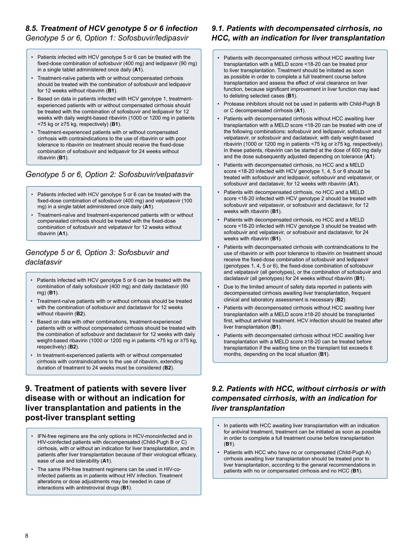#### *8.5. Treatment of HCV genotype 5 or 6 infection Genotype 5 or 6, Option 1: Sofosbuvir/ledipasvir*

- Patients infected with HCV genotype 5 or 6 can be treated with the fixed-dose combination of sofosbuvir (400 mg) and ledipasvir (90 mg) in a single tablet administered once daily (**A1**).
- Treatment-naïve patients with or without compensated cirrhosis should be treated with the combination of sofosbuvir and ledipasvir for 12 weeks without ribavirin (**B1**).
- Based on data in patients infected with HCV genotype 1, treatmentexperienced patients with or without compensated cirrhosis should be treated with the combination of sofosbuvir and ledipasvir for 12 weeks with daily weight-based ribavirin (1000 or 1200 mg in patients <75 kg or ≥75 kg, respectively) (**B1**).
- Treatment-experienced patients with or without compensated cirrhosis with contraindications to the use of ribavirin or with poor tolerance to ribavirin on treatment should receive the fixed-dose combination of sofosbuvir and ledipasvir for 24 weeks without ribavirin (**B1**).

## *Genotype 5 or 6, Option 2: Sofosbuvir/velpatasvir*

- Patients infected with HCV genotype 5 or 6 can be treated with the fixed-dose combination of sofosbuvir (400 mg) and velpatasvir (100 mg) in a single tablet administered once daily (**A1**).
- Treatment-naïve and treatment-experienced patients with or without compensated cirrhosis should be treated with the fixed-dose combination of sofosbuvir and velpatasvir for 12 weeks without ribavirin (**A1**).

#### *Genotype 5 or 6, Option 3: Sofosbuvir and daclatasvir*

- Patients infected with HCV genotype 5 or 6 can be treated with the combination of daily sofosbuvir (400 mg) and daily daclatasvir (60 mg) (**B1**).
- Treatment-naïve patients with or without cirrhosis should be treated with the combination of sofosbuvir and daclatasvir for 12 weeks without ribavirin (**B2**).
- Based on data with other combinations, treatment-experienced patients with or without compensated cirrhosis should be treated with the combination of sofosbuvir and daclatasvir for 12 weeks with daily weight-based ribavirin (1000 or 1200 mg in patients <75 kg or ≥75 kg, respectively) (**B2**).
- In treatment-experienced patients with or without compensated cirrhosis with contraindications to the use of ribavirin, extending duration of treatment to 24 weeks must be considered (**B2**).

## **9. Treatment of patients with severe liver disease with or without an indication for liver transplantation and patients in the post-liver transplant setting**

- IFN-free regimens are the only options in HCV-monoinfected and in HIV-coinfected patients with decompensated (Child-Pugh B or C) cirrhosis, with or without an indication for liver transplantation, and in patients after liver transplantation because of their virological efficacy, ease of use and tolerability (**A1**).
- The same IFN-free treatment regimens can be used in HIV-coinfected patients as in patients without HIV infection. Treatment alterations or dose adjustments may be needed in case of interactions with antiretroviral drugs (**B1**).

#### *9.1. Patients with decompensated cirrhosis, no HCC, with an indication for liver transplantation*

- Patients with decompensated cirrhosis without HCC awaiting liver transplantation with a MELD score <18-20 can be treated prior to liver transplantation. Treatment should be initiated as soon as possible in order to complete a full treatment course before transplantation and assess the effect of viral clearance on liver function, because significant improvement in liver function may lead to delisting selected cases (**B1**).
- Protease inhibitors should not be used in patients with Child-Pugh B or C decompensated cirrhosis (**A1**).
- Patients with decompensated cirrhosis without HCC awaiting liver transplantation with a MELD score <18-20 can be treated with one of the following combinations: sofosbuvir and ledipasvir, sofosbuvir and velpatasvir, or sofosbuvir and daclatasvir, with daily weight-based ribavirin (1000 or 1200 mg in patients <75 kg or ≥75 kg, respectively). In these patients, ribavirin can be started at the dose of 600 mg daily and the dose subsequently adjusted depending on tolerance (**A1**).
- Patients with decompensated cirrhosis, no HCC and a MELD score <18-20 infected with HCV genotype 1, 4, 5 or 6 should be treated with sofosbuvir and ledipasvir, sofosbuvir and velpatasvir, or sofosbuvir and daclatasvir, for 12 weeks with ribavirin (**A1**).
- Patients with decompensated cirrhosis, no HCC and a MELD score <18-20 infected with HCV genotype 2 should be treated with sofosbuvir and velpatasvir, or sofosbuvir and daclatasvir, for 12 weeks with ribavirin (**B1**).
- Patients with decompensated cirrhosis, no HCC and a MELD score <18-20 infected with HCV genotype 3 should be treated with sofosbuvir and velpatasvir, or sofosbuvir and daclatasvir, for 24 weeks with ribavirin (**B1**).
- Patients with decompensated cirrhosis with contraindications to the use of ribavirin or with poor tolerance to ribavirin on treatment should receive the fixed-dose combination of sofosbuvir and ledipasvir (genotypes 1, 4, 5 or 6), the fixed-dose combination of sofosbuvir and velpatasvir (all genotypes), or the combination of sofosbuvir and daclatasvir (all genotypes) for 24 weeks without ribavirin (**B1**).
- Due to the limited amount of safety data reported in patients with decompensated cirrhosis awaiting liver transplantation, frequent clinical and laboratory assessment is necessary (**B2**).
- Patients with decompensated cirrhosis without HCC awaiting liver transplantation with a MELD score ≥18-20 should be transplanted first, without antiviral treatment. HCV infection should be treated after liver transplantation (**B1**).
- Patients with decompensated cirrhosis without HCC awaiting liver transplantation with a MELD score ≥18-20 can be treated before transplantation if the waiting time on the transplant list exceeds 6 months, depending on the local situation (**B1**).

#### *9.2. Patients with HCC, without cirrhosis or with compensated cirrhosis, with an indication for liver transplantation*

- In patients with HCC awaiting liver transplantation with an indication for antiviral treatment, treatment can be initiated as soon as possible in order to complete a full treatment course before transplantation (**B1**).
- Patients with HCC who have no or compensated (Child-Pugh A) cirrhosis awaiting liver transplantation should be treated prior to liver transplantation, according to the general recommendations in patients with no or compensated cirrhosis and no HCC (**B1**).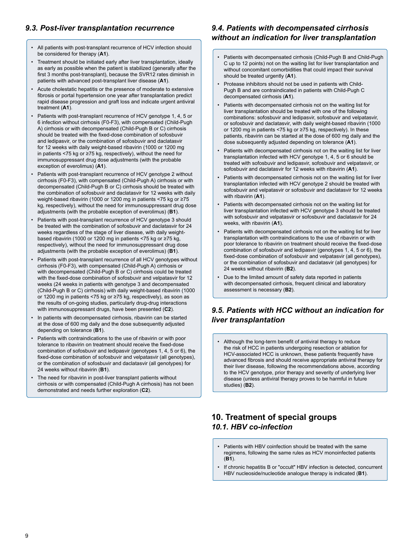#### *9.3. Post-liver transplantation recurrence*

- All patients with post-transplant recurrence of HCV infection should be considered for therapy (**A1**).
- Treatment should be initiated early after liver transplantation, ideally as early as possible when the patient is stabilized (generally after the first 3 months post-transplant), because the SVR12 rates diminish in patients with advanced post-transplant liver disease (**A1**).
- Acute cholestatic hepatitis or the presence of moderate to extensive fibrosis or portal hypertension one year after transplantation predict rapid disease progression and graft loss and indicate urgent antiviral treatment (**A1**).
- Patients with post-transplant recurrence of HCV genotype 1, 4, 5 or 6 infection without cirrhosis (F0-F3), with compensated (Child-Pugh A) cirrhosis or with decompensated (Child-Pugh B or C) cirrhosis should be treated with the fixed-dose combination of sofosbuvir and ledipasvir, or the combination of sofosbuvir and daclatasvir for 12 weeks with daily weight-based ribavirin (1000 or 1200 mg in patients <75 kg or ≥75 kg, respectively), without the need for immunosuppressant drug dose adjustments (with the probable exception of everolimus) (**A1**).
- Patients with post-transplant recurrence of HCV genotype 2 without cirrhosis (F0-F3), with compensated (Child-Pugh A) cirrhosis or with decompensated (Child-Pugh B or C) cirrhosis should be treated with the combination of sofosbuvir and daclatasvir for 12 weeks with daily weight-based ribavirin (1000 or 1200 mg in patients <75 kg or ≥75 kg, respectively), without the need for immunosuppressant drug dose adjustments (with the probable exception of everolimus) (**B1**).
- Patients with post-transplant recurrence of HCV genotype 3 should be treated with the combination of sofosbuvir and daclatasvir for 24 weeks regardless of the stage of liver disease, with daily weightbased ribavirin (1000 or 1200 mg in patients <75 kg or ≥75 kg, respectively), without the need for immunosuppressant drug dose adjustments (with the probable exception of everolimus) (**B1**).
- Patients with post-transplant recurrence of all HCV genotypes without cirrhosis (F0-F3), with compensated (Child-Pugh A) cirrhosis or with decompensated (Child-Pugh B or C) cirrhosis could be treated with the fixed-dose combination of sofosbuvir and velpatasvir for 12 weeks (24 weeks in patients with genotype 3 and decompensated (Child-Pugh B or C) cirrhosis) with daily weight-based ribavirin (1000 or 1200 mg in patients <75 kg or ≥75 kg, respectively), as soon as the results of on-going studies, particularly drug-drug interactions with immunosuppressant drugs, have been presented (**C2**).
- In patients with decompensated cirrhosis, ribavirin can be started at the dose of 600 mg daily and the dose subsequently adjusted depending on tolerance (**B1**).
- Patients with contraindications to the use of ribavirin or with poor tolerance to ribavirin on treatment should receive the fixed-dose combination of sofosbuvir and ledipasvir (genotypes 1, 4, 5 or 6), the fixed-dose combination of sofosbuvir and velpatasvir (all genotypes), or the combination of sofosbuvir and daclatasvir (all genotypes) for 24 weeks without ribavirin (**B1**).
- The need for ribavirin in post-liver transplant patients without cirrhosis or with compensated (Child-Pugh A cirrhosis) has not been demonstrated and needs further exploration (**C2**).

#### *9.4. Patients with decompensated cirrhosis without an indication for liver transplantation*

- Patients with decompensated cirrhosis (Child-Pugh B and Child-Pugh C up to 12 points) not on the waiting list for liver transplantation and without concomitant comorbidities that could impact their survival should be treated urgently (**A1**).
- Protease inhibitors should not be used in patients with Child-Pugh B and are contraindicated in patients with Child-Pugh C decompensated cirrhosis (**A1**).
- Patients with decompensated cirrhosis not on the waiting list for liver transplantation should be treated with one of the following combinations: sofosbuvir and ledipasvir, sofosbuvir and velpatasvir, or sofosbuvir and daclatasvir, with daily weight-based ribavirin (1000 or 1200 mg in patients <75 kg or ≥75 kg, respectively). In these patients, ribavirin can be started at the dose of 600 mg daily and the dose subsequently adjusted depending on tolerance (**A1**).
- Patients with decompensated cirrhosis not on the waiting list for liver transplantation infected with HCV genotype 1, 4, 5 or 6 should be treated with sofosbuvir and ledipasvir, sofosbuvir and velpatasvir, or sofosbuvir and daclatasvir for 12 weeks with ribavirin (**A1**).
- Patients with decompensated cirrhosis not on the waiting list for liver transplantation infected with HCV genotype 2 should be treated with sofosbuvir and velpatasvir or sofosbuvir and daclatasvir for 12 weeks with ribavirin (**A1**).
- Patients with decompensated cirrhosis not on the waiting list for liver transplantation infected with HCV genotype 3 should be treated with sofosbuvir and velpatasvir or sofosbuvir and daclatasvir for 24 weeks, with ribavirin (**A1**).
- Patients with decompensated cirrhosis not on the waiting list for liver transplantation with contraindications to the use of ribavirin or with poor tolerance to ribavirin on treatment should receive the fixed-dose combination of sofosbuvir and ledipasvir (genotypes 1, 4, 5 or 6), the fixed-dose combination of sofosbuvir and velpatasvir (all genotypes), or the combination of sofosbuvir and daclatasvir (all genotypes) for 24 weeks without ribavirin (**B2**).
- Due to the limited amount of safety data reported in patients with decompensated cirrhosis, frequent clinical and laboratory assessment is necessary (**B2**).

#### *9.5. Patients with HCC without an indication for liver transplantation*

• Although the long-term benefit of antiviral therapy to reduce the risk of HCC in patients undergoing resection or ablation for HCV-associated HCC is unknown, these patients frequently have advanced fibrosis and should receive appropriate antiviral therapy for their liver disease, following the recommendations above, according to the HCV genotype, prior therapy and severity of underlying liver disease (unless antiviral therapy proves to be harmful in future studies) (**B2**).

## **10. Treatment of special groups** *10.1. HBV co-infection*

- Patients with HBV coinfection should be treated with the same regimens, following the same rules as HCV monoinfected patients (**B1**).
- If chronic hepatitis B or "occult" HBV infection is detected, concurrent HBV nucleoside/nucleotide analogue therapy is indicated (**B1**).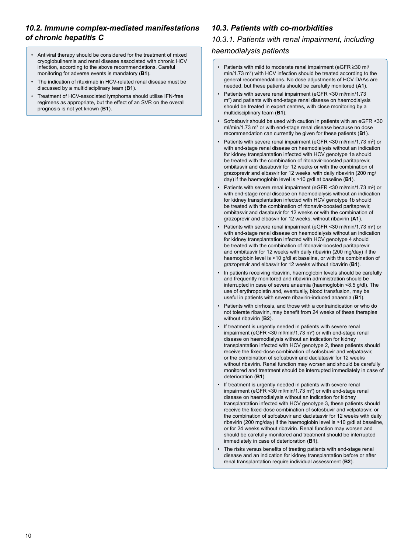#### *10.2. Immune complex-mediated manifestations of chronic hepatitis C*

- Antiviral therapy should be considered for the treatment of mixed cryoglobulinemia and renal disease associated with chronic HCV infection, according to the above recommendations. Careful monitoring for adverse events is mandatory (**B1**).
- The indication of rituximab in HCV-related renal disease must be discussed by a multidisciplinary team (**B1**).
- Treatment of HCV-associated lymphoma should utilise IFN-free regimens as appropriate, but the effect of an SVR on the overall prognosis is not yet known (**B1**).

#### *10.3. Patients with co-morbidities*

#### *10.3.1. Patients with renal impairment, including*

#### *haemodialysis patients*

- Patients with mild to moderate renal impairment (eGFR ≥30 ml/ min/1.73 m<sup>2</sup>) with HCV infection should be treated according to the general recommendations. No dose adjustments of HCV DAAs are needed, but these patients should be carefully monitored (**A1**).
- Patients with severe renal impairment (eGFR <30 ml/min/1.73 m<sup>2</sup>) and patients with end-stage renal disease on haemodialysis should be treated in expert centres, with close monitoring by a multidisciplinary team (**B1**).
- Sofosbuvir should be used with caution in patients with an eGFR <30 ml/min/1.73 m<sup>2</sup> or with end-stage renal disease because no dose recommendation can currently be given for these patients (**B1**).
- Patients with severe renal impairment (eGFR < 30 ml/min/1.73 m<sup>2</sup>) or with end-stage renal disease on haemodialysis without an indication for kidney transplantation infected with HCV genotype 1a should be treated with the combination of ritonavir-boosted paritaprevir, ombitasvir and dasabuvir for 12 weeks or with the combination of grazoprevir and elbasvir for 12 weeks, with daily ribavirin (200 mg/ day) if the haemoglobin level is >10 g/dl at baseline (**B1**).
- Patients with severe renal impairment (eGFR < 30 ml/min/1.73 m<sup>2</sup>) or with end-stage renal disease on haemodialysis without an indication for kidney transplantation infected with HCV genotype 1b should be treated with the combination of ritonavir-boosted paritaprevir, ombitasvir and dasabuvir for 12 weeks or with the combination of grazoprevir and elbasvir for 12 weeks, without ribavirin (**A1**).
- Patients with severe renal impairment (eGFR  $\leq$  30 ml/min/1.73 m<sup>2</sup>) or with end-stage renal disease on haemodialysis without an indication for kidney transplantation infected with HCV genotype 4 should be treated with the combination of ritonavir-boosted paritaprevir and ombitasvir for 12 weeks with daily ribavirin (200 mg/day) if the haemoglobin level is >10 g/dl at baseline, or with the combination of grazoprevir and elbasvir for 12 weeks without ribavirin (**B1**).
- In patients receiving ribavirin, haemoglobin levels should be carefully and frequently monitored and ribavirin administration should be interrupted in case of severe anaemia (haemoglobin <8.5 g/dl). The use of erythropoietin and, eventually, blood transfusion, may be useful in patients with severe ribavirin-induced anaemia (**B1**).
- Patients with cirrhosis, and those with a contraindication or who do not tolerate ribavirin, may benefit from 24 weeks of these therapies without ribavirin (**B2**).
- If treatment is urgently needed in patients with severe renal impairment (eGFR < 30 ml/min/1.73  $m<sup>2</sup>$ ) or with end-stage renal disease on haemodialysis without an indication for kidney transplantation infected with HCV genotype 2, these patients should receive the fixed-dose combination of sofosbuvir and velpatasvir, or the combination of sofosbuvir and daclatasvir for 12 weeks without ribavirin. Renal function may worsen and should be carefully monitored and treatment should be interrupted immediately in case of deterioration (**B1**).
- If treatment is urgently needed in patients with severe renal impairment (eGFR < 30 ml/min/1.73  $m<sup>2</sup>$ ) or with end-stage renal disease on haemodialysis without an indication for kidney transplantation infected with HCV genotype 3, these patients should receive the fixed-dose combination of sofosbuvir and velpatasvir, or the combination of sofosbuvir and daclatasvir for 12 weeks with daily ribavirin (200 mg/day) if the haemoglobin level is >10 g/dl at baseline, or for 24 weeks without ribavirin. Renal function may worsen and should be carefully monitored and treatment should be interrupted immediately in case of deterioration (**B1**).
- The risks versus benefits of treating patients with end-stage renal disease and an indication for kidney transplantation before or after renal transplantation require individual assessment (**B2**).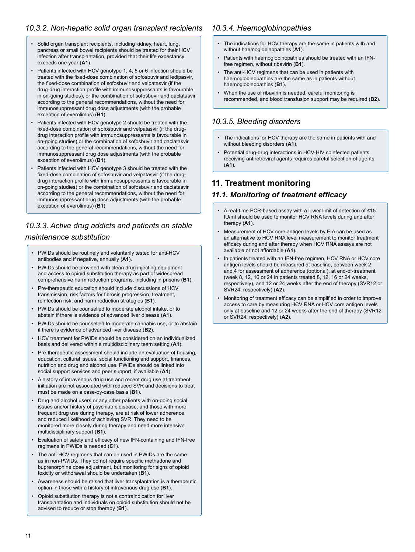#### *10.3.2. Non-hepatic solid organ transplant recipients*

- Solid organ transplant recipients, including kidney, heart, lung, pancreas or small bowel recipients should be treated for their HCV infection after transplantation, provided that their life expectancy exceeds one year (**A1**).
- Patients infected with HCV genotype 1, 4, 5 or 6 infection should be treated with the fixed-dose combination of sofosbuvir and ledipasvir, the fixed-dose combination of sofosbuvir and velpatasvir (if the drug-drug interaction profile with immunosuppressants is favourable in on-going studies), or the combination of sofosbuvir and daclatasvir according to the general recommendations, without the need for immunosuppressant drug dose adjustments (with the probable exception of everolimus) (**B1**).
- Patients infected with HCV genotype 2 should be treated with the fixed-dose combination of sofosbuvir and velpatasvir (if the drugdrug interaction profile with immunosuppressants is favourable in on-going studies) or the combination of sofosbuvir and daclatasvir according to the general recommendations, without the need for immunosuppressant drug dose adjustments (with the probable exception of everolimus) (**B1**).
- Patients infected with HCV genotype 3 should be treated with the fixed-dose combination of sofosbuvir and velpatasvir (if the drugdrug interaction profile with immunosuppressants is favourable in on-going studies) or the combination of sofosbuvir and daclatasvir according to the general recommendations, without the need for immunosuppressant drug dose adjustments (with the probable exception of everolimus) (**B1**).

## *10.3.3. Active drug addicts and patients on stable maintenance substitution*

- PWIDs should be routinely and voluntarily tested for anti-HCV antibodies and if negative, annually (**A1**).
- PWIDs should be provided with clean drug injecting equipment and access to opioid substitution therapy as part of widespread comprehensive harm reduction programs, including in prisons (**B1**).
- Pre-therapeutic education should include discussions of HCV transmission, risk factors for fibrosis progression, treatment, reinfection risk, and harm reduction strategies (**B1**).
- PWIDs should be counselled to moderate alcohol intake, or to abstain if there is evidence of advanced liver disease (**A1**).
- PWIDs should be counselled to moderate cannabis use, or to abstain if there is evidence of advanced liver disease (**B2**).
- HCV treatment for PWIDs should be considered on an individualized basis and delivered within a multidisciplinary team setting (**A1**).
- Pre-therapeutic assessment should include an evaluation of housing, education, cultural issues, social functioning and support, finances, nutrition and drug and alcohol use. PWIDs should be linked into social support services and peer support, if available (**A1**).
- A history of intravenous drug use and recent drug use at treatment initiation are not associated with reduced SVR and decisions to treat must be made on a case-by-case basis (**B1**).
- Drug and alcohol users or any other patients with on-going social issues and/or history of psychiatric disease, and those with more frequent drug use during therapy, are at risk of lower adherence and reduced likelihood of achieving SVR. They need to be monitored more closely during therapy and need more intensive multidisciplinary support (**B1**).
- Evaluation of safety and efficacy of new IFN-containing and IFN-free regimens in PWIDs is needed (**C1**).
- The anti-HCV regimens that can be used in PWIDs are the same as in non-PWIDs. They do not require specific methadone and buprenorphine dose adjustment, but monitoring for signs of opioid toxicity or withdrawal should be undertaken (**B1**).
- Awareness should be raised that liver transplantation is a therapeutic option in those with a history of intravenous drug use (**B1**).
- Opioid substitution therapy is not a contraindication for liver transplantation and individuals on opioid substitution should not be advised to reduce or stop therapy (**B1**).

#### *10.3.4. Haemoglobinopathies*

- The indications for HCV therapy are the same in patients with and without haemoglobinopathies (**A1**).
- Patients with haemoglobinopathies should be treated with an IFNfree regimen, without ribavirin (**B1**).
- The anti-HCV regimens that can be used in patients with haemoglobinopathies are the same as in patients without haemoglobinopathies (**B1**).
- When the use of ribavirin is needed, careful monitoring is recommended, and blood transfusion support may be required (**B2**).

#### *10.3.5. Bleeding disorders*

- The indications for HCV therapy are the same in patients with and without bleeding disorders (**A1**).
- Potential drug-drug interactions in HCV-HIV coinfected patients receiving antiretroviral agents requires careful selection of agents (**A1**).

## **11. Treatment monitoring**

#### *11.1. Monitoring of treatment efficacy*

- A real-time PCR-based assay with a lower limit of detection of ≤15 IU/ml should be used to monitor HCV RNA levels during and after therapy (**A1**).
- Measurement of HCV core antigen levels by EIA can be used as an alternative to HCV RNA level measurement to monitor treatment efficacy during and after therapy when HCV RNA assays are not available or not affordable (**A1**).
- In patients treated with an IFN-free regimen, HCV RNA or HCV core antigen levels should be measured at baseline, between week 2 and 4 for assessment of adherence (optional), at end-of-treatment (week 8, 12, 16 or 24 in patients treated 8, 12, 16 or 24 weeks, respectively), and 12 or 24 weeks after the end of therapy (SVR12 or SVR24, respectively) (**A2**).
- Monitoring of treatment efficacy can be simplified in order to improve access to care by measuring HCV RNA or HCV core antigen levels only at baseline and 12 or 24 weeks after the end of therapy (SVR12 or SVR24, respectively) (**A2**).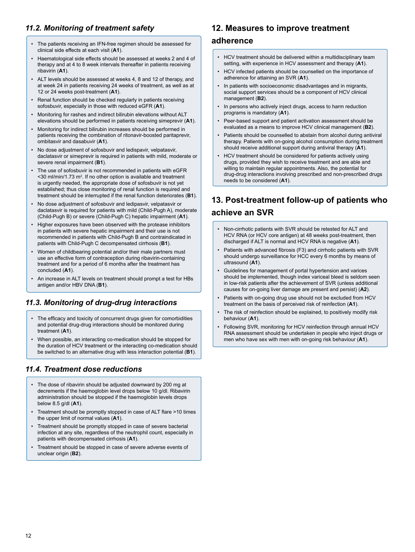#### *11.2. Monitoring of treatment safety*

- The patients receiving an IFN-free regimen should be assessed for clinical side effects at each visit (**A1**).
- Haematological side effects should be assessed at weeks 2 and 4 of therapy and at 4 to 8 week intervals thereafter in patients receiving ribavirin (**A1**).
- ALT levels should be assessed at weeks 4, 8 and 12 of therapy, and at week 24 in patients receiving 24 weeks of treatment, as well as at 12 or 24 weeks post-treatment (**A1**).
- Renal function should be checked regularly in patients receiving sofosbuvir, especially in those with reduced eGFR (**A1**).
- Monitoring for rashes and indirect bilirubin elevations without ALT elevations should be performed in patients receiving simeprevir (**A1**).
- Monitoring for indirect bilirubin increases should be performed in patients receiving the combination of ritonavir-boosted paritaprevir, ombitasvir and dasabuvir (**A1**).
- No dose adjustment of sofosbuvir and ledispavir, velpatasvir, daclatasvir or simeprevir is required in patients with mild, moderate or severe renal impairment (**B1**).
- The use of sofosbuvir is not recommended in patients with eGFR  $\leq$  30 ml/min/1.73 m<sup>2</sup>. If no other option is available and treatment is urgently needed, the appropriate dose of sofosbuvir is not yet established; thus close monitoring of renal function is required and treatment should be interrupted if the renal function deteriorates (**B1**).
- No dose adjustment of sofosbuvir and ledipasvir, velpatasvir or daclatasvir is required for patients with mild (Child-Pugh A), moderate (Child-Pugh B) or severe (Child-Pugh C) hepatic impairment (**A1**).
- Higher exposures have been observed with the protease inhibitors in patients with severe hepatic impairment and their use is not recommended in patients with Child-Pugh B and contraindicated in patients with Child-Pugh C decompensated cirrhosis (**B1**).
- Women of childbearing potential and/or their male partners must use an effective form of contraception during ribavirin-containing treatment and for a period of 6 months after the treatment has concluded (**A1**).
- An increase in ALT levels on treatment should prompt a test for HBs antigen and/or HBV DNA (**B1**).

#### *11.3. Monitoring of drug-drug interactions*

- The efficacy and toxicity of concurrent drugs given for comorbidities and potential drug-drug interactions should be monitored during treatment (**A1**).
- When possible, an interacting co-medication should be stopped for the duration of HCV treatment or the interacting co-medication should be switched to an alternative drug with less interaction potential (**B1**).

#### *11.4. Treatment dose reductions*

- The dose of ribavirin should be adjusted downward by 200 mg at decrements if the haemoglobin level drops below 10 g/dl. Ribavirin administration should be stopped if the haemoglobin levels drops below 8.5 g/dl (**A1**).
- Treatment should be promptly stopped in case of ALT flare >10 times the upper limit of normal values (**A1**).
- Treatment should be promptly stopped in case of severe bacterial infection at any site, regardless of the neutrophil count, especially in patients with decompensated cirrhosis (**A1**).
- Treatment should be stopped in case of severe adverse events of unclear origin (**B2**).

## **12. Measures to improve treatment**

#### **adherence**

- HCV treatment should be delivered within a multidisciplinary team setting, with experience in HCV assessment and therapy (**A1**).
- HCV infected patients should be counselled on the importance of adherence for attaining an SVR (**A1**).
- In patients with socioeconomic disadvantages and in migrants, social support services should be a component of HCV clinical management (**B2**).
- In persons who actively inject drugs, access to harm reduction programs is mandatory (**A1**).
- Peer-based support and patient activation assessment should be evaluated as a means to improve HCV clinical management (**B2**).
- Patients should be counselled to abstain from alcohol during antiviral therapy. Patients with on-going alcohol consumption during treatment should receive additional support during antiviral therapy (**A1**).
- HCV treatment should be considered for patients actively using drugs, provided they wish to receive treatment and are able and willing to maintain regular appointments. Also, the potential for drug-drug interactions involving prescribed and non-prescribed drugs needs to be considered (**A1**).

## **13. Post-treatment follow-up of patients who achieve an SVR**

- Non-cirrhotic patients with SVR should be retested for ALT and HCV RNA (or HCV core antigen) at 48 weeks post-treatment, then discharged if ALT is normal and HCV RNA is negative (**A1**).
- Patients with advanced fibrosis (F3) and cirrhotic patients with SVR should undergo surveillance for HCC every 6 months by means of ultrasound (**A1**).
- Guidelines for management of portal hypertension and varices should be implemented, though index variceal bleed is seldom seen in low-risk patients after the achievement of SVR (unless additional causes for on-going liver damage are present and persist) (**A2**).
- Patients with on-going drug use should not be excluded from HCV treatment on the basis of perceived risk of reinfection (**A1**).
- The risk of reinfection should be explained, to positively modify risk behaviour (**A1**).
- Following SVR, monitoring for HCV reinfection through annual HCV RNA assessment should be undertaken in people who inject drugs or men who have sex with men with on-going risk behaviour (**A1**).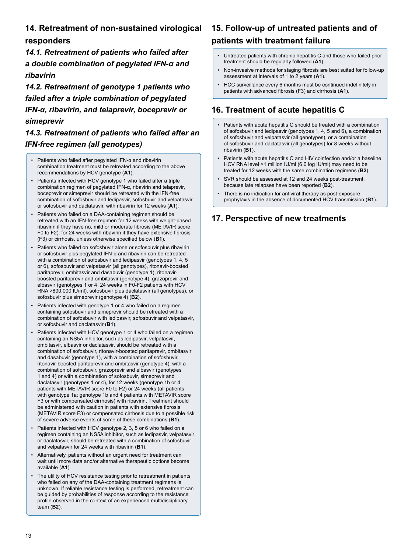## **14. Retreatment of non-sustained virological**

#### **responders**

*14.1. Retreatment of patients who failed after a double combination of pegylated IFN-α and ribavirin*

*14.2. Retreatment of genotype 1 patients who failed after a triple combination of pegylated IFN-α, ribavirin, and telaprevir, boceprevir or simeprevir*

## *14.3. Retreatment of patients who failed after an IFN-free regimen (all genotypes)*

- Patients who failed after pegylated IFN-α and ribavirin combination treatment must be retreated according to the above recommendations by HCV genotype (**A1**).
- Patients infected with HCV genotype 1 who failed after a triple combination regimen of pegylated IFN-α, ribavirin and telaprevir, boceprevir or simeprevir should be retreated with the IFN-free combination of sofosbuvir and ledipasvir, sofosbuvir and velpatasvir, or sofosbuvir and daclatasvir, with ribavirin for 12 weeks (**A1**).
- Patients who failed on a DAA-containing regimen should be retreated with an IFN-free regimen for 12 weeks with weight-based ribavirin if they have no, mild or moderate fibrosis (METAVIR score F0 to F2), for 24 weeks with ribavirin if they have extensive fibrosis (F3) or cirrhosis, unless otherwise specified below (**B1**).
- Patients who failed on sofosbuvir alone or sofosbuvir plus ribavirin or sofosbuvir plus pegylated IFN-α and ribavirin can be retreated with a combination of sofosbuvir and ledipasvir (genotypes 1, 4, 5 or 6), sofosbuvir and velpatasvir (all genotypes), ritonavir-boosted paritaprevir, ombitasvir and dasabuvir (genotype 1), ritonavirboosted paritaprevir and ombitasvir (genotype 4), grazoprevir and elbasvir (genotypes 1 or 4; 24 weeks in F0-F2 patients with HCV RNA >800,000 IU/ml), sofosbuvir plus daclatasvir (all genotypes), or sofosbuvir plus simeprevir (genotype 4) (**B2**).
- Patients infected with genotype 1 or 4 who failed on a regimen containing sofosbuvir and simeprevir should be retreated with a combination of sofosbuvir with ledipasvir, sofosbuvir and velpatasvir, or sofosbuvir and daclatasvir (**B1**).
- Patients infected with HCV genotype 1 or 4 who failed on a regimen containing an NS5A inhibitor, such as ledipasvir, velpatasvir, ombitasvir, elbasvir or daclatasvir, should be retreated with a combination of sofosbuvir, ritonavir-boosted paritaprevir, ombitasvir and dasabuvir (genotype 1), with a combination of sofosbuvir, ritonavir-boosted paritaprevir and ombitasvir (genotype 4), with a combination of sofosbuvir, grazoprevir and elbasvir (genotypes 1 and 4) or with a combination of sofosbuvir, simeprevir and daclatasvir (genotypes 1 or 4), for 12 weeks (genotype 1b or 4 patients with METAVIR score F0 to F2) or 24 weeks (all patients with genotype 1a; genotype 1b and 4 patients with METAVIR score F3 or with compensated cirrhosis) with ribavirin. Treatment should be administered with caution in patients with extensive fibrosis (METAVIR score F3) or compensated cirrhosis due to a possible risk of severe adverse events of some of these combinations (**B1**).
- Patients infected with HCV genotype 2, 3, 5 or 6 who failed on a regimen containing an NS5A inhibitor, such as ledipasvir, velpatasvir or daclatasvir, should be retreated with a combination of sofosbuvir and velpatasvir for 24 weeks with ribavirin (**B1**).
- Alternatively, patients without an urgent need for treatment can wait until more data and/or alternative therapeutic options become available (**A1**).
- The utility of HCV resistance testing prior to retreatment in patients who failed on any of the DAA-containing treatment regimens is unknown. If reliable resistance testing is performed, retreatment can be guided by probabilities of response according to the resistance profile observed in the context of an experienced multidisciplinary team (**B2**).

## **15. Follow-up of untreated patients and of patients with treatment failure**

- Untreated patients with chronic hepatitis C and those who failed prior treatment should be regularly followed (**A1**).
- Non-invasive methods for staging fibrosis are best suited for follow-up assessment at intervals of 1 to 2 years (**A1**).
- HCC surveillance every 6 months must be continued indefinitely in patients with advanced fibrosis (F3) and cirrhosis (**A1**).

## **16. Treatment of acute hepatitis C**

- Patients with acute hepatitis C should be treated with a combination of sofosbuvir and ledipasvir (genotypes 1, 4, 5 and 6), a combination of sofosbuvir and velpatasvir (all genotypes), or a combination of sofosbuvir and daclatasvir (all genotypes) for 8 weeks without ribavirin (**B1**).
- Patients with acute hepatitis C and HIV coinfection and/or a baseline HCV RNA level >1 million IU/ml (6.0 log IU/ml) may need to be treated for 12 weeks with the same combination regimens (**B2**).
- SVR should be assessed at 12 and 24 weeks post-treatment because late relapses have been reported (**B2**).
- There is no indication for antiviral therapy as post-exposure prophylaxis in the absence of documented HCV transmission (**B1**).

## **17. Perspective of new treatments**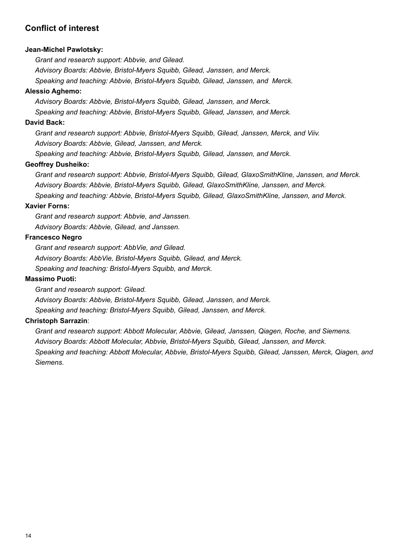## **Conflict of interest**

#### **Jean-Michel Pawlotsky:**

*Grant and research support: Abbvie, and Gilead.*

*Advisory Boards: Abbvie, Bristol-Myers Squibb, Gilead, Janssen, and Merck.*

*Speaking and teaching: Abbvie, Bristol-Myers Squibb, Gilead, Janssen, and Merck.*

#### **Alessio Aghemo:**

*Advisory Boards: Abbvie, Bristol-Myers Squibb, Gilead, Janssen, and Merck. Speaking and teaching: Abbvie, Bristol-Myers Squibb, Gilead, Janssen, and Merck.*

#### **David Back:**

*Grant and research support: Abbvie, Bristol-Myers Squibb, Gilead, Janssen, Merck, and Viiv. Advisory Boards: Abbvie, Gilead, Janssen, and Merck.*

*Speaking and teaching: Abbvie, Bristol-Myers Squibb, Gilead, Janssen, and Merck.*

#### **Geoffrey Dusheiko:**

*Grant and research support: Abbvie, Bristol-Myers Squibb, Gilead, GlaxoSmithKline, Janssen, and Merck. Advisory Boards: Abbvie, Bristol-Myers Squibb, Gilead, GlaxoSmithKline, Janssen, and Merck.*

*Speaking and teaching: Abbvie, Bristol-Myers Squibb, Gilead, GlaxoSmithKline, Janssen, and Merck.*

#### **Xavier Forns:**

*Grant and research support: Abbvie, and Janssen. Advisory Boards: Abbvie, Gilead, and Janssen.*

#### **Francesco Negro**

*Grant and research support: AbbVie, and Gilead. Advisory Boards: AbbVie, Bristol-Myers Squibb, Gilead, and Merck. Speaking and teaching: Bristol-Myers Squibb, and Merck.*

#### **Massimo Puoti:**

*Grant and research support: Gilead.*

*Advisory Boards: Abbvie, Bristol-Myers Squibb, Gilead, Janssen, and Merck.*

*Speaking and teaching: Bristol-Myers Squibb, Gilead, Janssen, and Merck.*

#### **Christoph Sarrazin**:

*Grant and research support: Abbott Molecular, Abbvie, Gilead, Janssen, Qiagen, Roche, and Siemens. Advisory Boards: Abbott Molecular, Abbvie, Bristol-Myers Squibb, Gilead, Janssen, and Merck. Speaking and teaching: Abbott Molecular, Abbvie, Bristol-Myers Squibb, Gilead, Janssen, Merck, Qiagen, and Siemens.*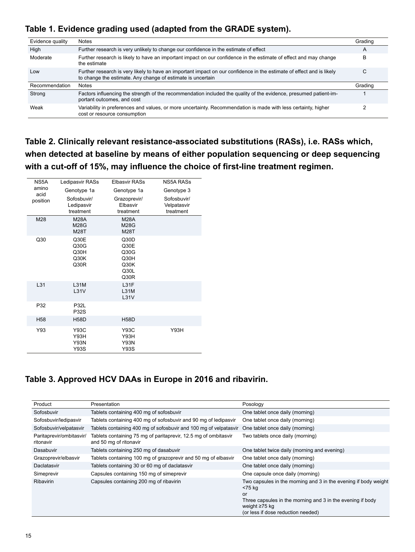## **Table 1. Evidence grading used (adapted from the GRADE system).**

| Evidence quality | <b>Notes</b>                                                                                                                                                                         | Grading |
|------------------|--------------------------------------------------------------------------------------------------------------------------------------------------------------------------------------|---------|
| High             | Further research is very unlikely to change our confidence in the estimate of effect                                                                                                 | A       |
| Moderate         | Further research is likely to have an important impact on our confidence in the estimate of effect and may change<br>the estimate                                                    | в       |
| Low              | Further research is very likely to have an important impact on our confidence in the estimate of effect and is likely<br>to change the estimate. Any change of estimate is uncertain | С       |
| Recommendation   | <b>Notes</b>                                                                                                                                                                         | Grading |
| Strong           | Factors influencing the strength of the recommendation included the quality of the evidence, presumed patient-im-<br>portant outcomes, and cost                                      |         |
| Weak             | Variability in preferences and values, or more uncertainty. Recommendation is made with less certainty, higher<br>cost or resource consumption                                       |         |

**Table 2. Clinically relevant resistance-associated substitutions (RASs), i.e. RASs which, when detected at baseline by means of either population sequencing or deep sequencing with a cut-off of 15%, may influence the choice of first-line treatment regimen.**

| NS5A            | Ledipasvir RASs                            | Elbasvir RASs                                        | NS5A RASs                               |
|-----------------|--------------------------------------------|------------------------------------------------------|-----------------------------------------|
| amino<br>acid   | Genotype 1a                                | Genotype 1a                                          | Genotype 3                              |
| position        | Sofosbuvir/<br>Ledipasvir<br>treatment     | Grazoprevir/<br>Elbasvir<br>treatment                | Sofosbuvir/<br>Velpatasvir<br>treatment |
| M28             | <b>M28A</b><br><b>M28G</b><br><b>M28T</b>  | <b>M28A</b><br><b>M28G</b><br><b>M28T</b>            |                                         |
| Q30             | Q30E<br>Q30G<br>Q30H<br>Q30K<br>Q30R       | Q30D<br>Q30E<br>Q30G<br>Q30H<br>Q30K<br>Q30L<br>Q30R |                                         |
| L31             | <b>L31M</b><br>L31V                        | L31F<br><b>L31M</b><br>L31V                          |                                         |
| P32             | <b>P32L</b><br><b>P32S</b>                 |                                                      |                                         |
| H <sub>58</sub> | <b>H58D</b>                                | <b>H58D</b>                                          |                                         |
| Y93             | Y93C<br>Y93H<br><b>Y93N</b><br><b>Y93S</b> | Y93C<br>Y93H<br><b>Y93N</b><br><b>Y93S</b>           | Y93H                                    |

## **Table 3. Approved HCV DAAs in Europe in 2016 and ribavirin.**

| Product                               | Presentation                                                                              | Posology                                                                                                                                      |
|---------------------------------------|-------------------------------------------------------------------------------------------|-----------------------------------------------------------------------------------------------------------------------------------------------|
| Sofosbuvir                            | Tablets containing 400 mg of sofosbuvir                                                   | One tablet once daily (morning)                                                                                                               |
| Sofosbuvir/ledipasvir                 | Tablets containing 400 mg of sofosbuvir and 90 mg of ledipasvir                           | One tablet once daily (morning)                                                                                                               |
| Sofosbuvir/velpatasvir                | Tablets containing 400 mg of sofosbuvir and 100 mg of velpatasvir                         | One tablet once daily (morning)                                                                                                               |
| Paritaprevir/ombitasvir/<br>ritonavir | Tablets containing 75 mg of paritaprevir, 12.5 mg of ombitasvir<br>and 50 mg of ritonavir | Two tablets once daily (morning)                                                                                                              |
| Dasabuvir                             | Tablets containing 250 mg of dasabuvir                                                    | One tablet twice daily (morning and evening)                                                                                                  |
| Grazoprevir/elbasvir                  | Tablets containing 100 mg of grazoprevir and 50 mg of elbasvir                            | One tablet once daily (morning)                                                                                                               |
| Daclatasvir                           | Tablets containing 30 or 60 mg of daclatasvir                                             | One tablet once daily (morning)                                                                                                               |
| Simeprevir                            | Capsules containing 150 mg of simeprevir                                                  | One capsule once daily (morning)                                                                                                              |
| <b>Ribavirin</b>                      | Capsules containing 200 mg of ribavirin                                                   | Two capsules in the morning and 3 in the evening if body weight<br><75 kg<br>or<br>Three capsules in the morning and 3 in the evening if body |
|                                       |                                                                                           | weight $\geq 75$ kg<br>(or less if dose reduction needed)                                                                                     |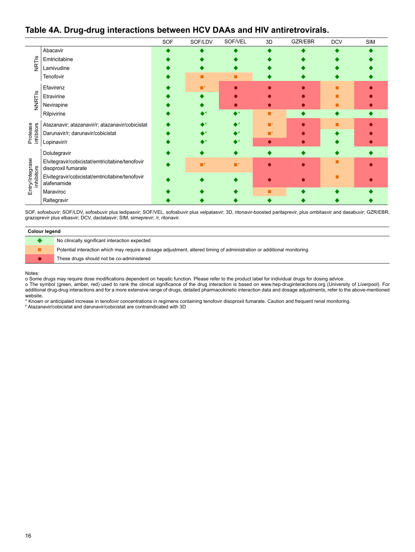#### **Table 4A. Drug-drug interactions between HCV DAAs and HIV antiretrovirals.**

|                               |                                                                        | SOF | SOF/LDV | SOF/VEL                  | 3D                        | GZR/EBR | <b>DCV</b> | <b>SIM</b> |
|-------------------------------|------------------------------------------------------------------------|-----|---------|--------------------------|---------------------------|---------|------------|------------|
|                               | Abacavir                                                               |     |         |                          |                           |         |            |            |
| NRTIS                         | Emtricitabine                                                          |     |         |                          |                           |         |            |            |
|                               | Lamivudine                                                             |     |         |                          |                           |         |            |            |
|                               | Tenofovir                                                              |     |         |                          |                           |         |            |            |
|                               | Efavirenz                                                              |     |         |                          |                           |         |            |            |
|                               | Etravirine                                                             |     |         |                          |                           |         |            |            |
| VNRTIS                        | Nevirapine                                                             |     |         |                          |                           |         |            |            |
|                               | Rilpivirine                                                            |     |         | $\blacktriangle^{\star}$ | ■                         |         |            |            |
|                               | Atazanavir; atazanavir/r; atazanavir/cobicistat                        |     |         | ⊾∗                       | $\blacksquare^{\ddagger}$ |         |            |            |
| Protease<br>inhibitors        | Darunavir/r; darunavir/cobicistat                                      |     |         | ▶*                       | ■                         |         |            |            |
|                               | Lopinavir/r                                                            |     |         | ▸∗                       | $\bullet$                 |         |            |            |
|                               | Dolutegravir                                                           |     |         |                          |                           |         |            |            |
|                               | Elvitegravir/cobicistat/emtricitabine/tenofovir<br>disoproxil fumarate |     |         | $\blacksquare^*$         |                           |         |            |            |
| Entry/Integrase<br>inhibitors | Elvitegravir/cobicistat/emtricitabine/tenofovir<br>alafenamide         |     |         |                          |                           |         |            |            |
|                               | Maraviroc                                                              |     |         |                          |                           |         |            |            |
|                               | Raltegravir                                                            |     |         |                          |                           |         |            |            |

SOF, sofosbuvir; SOF/LDV, sofosbuvir plus ledipasvir; SOF/VEL, sofosbuvir plus velpatasvir; 3D, ritonavir-boosted paritaprevir, plus ombitasvir and dasabuvir; GZR/EBR, grazoprevir plus elbasvir; DCV, daclatasvir; SIM, simeprevir; /r, ritonavir.

| Colour legend                                                                                                          |  |  |  |  |
|------------------------------------------------------------------------------------------------------------------------|--|--|--|--|
| No clinically significant interaction expected                                                                         |  |  |  |  |
| Potential interaction which may require a dosage adjustment, altered timing of administration or additional monitoring |  |  |  |  |
| These drugs should not be co-administered                                                                              |  |  |  |  |

Notes:

o Some drugs may require dose modifications dependent on hepatic function. Please refer to the product label for individual drugs for dosing advice.

o The symbol (green, amber, red) used to rank the clinical significance of the drug interaction is based on www.hep-druginteractions.org (University of Liverpool). For additional drug-drug interactions and for a more extensive range of drugs, detailed pharmacokinetic interaction data and dosage adjustments, refer to the above-mentioned website.

\* Known or anticipated increase in tenofovir concentrations in regimens containing tenofovir disoproxil fumarate. Caution and frequent renal monitoring.

ǂ Atazanavir/cobicistat and darunavir/cobicistat are contraindicated with 3D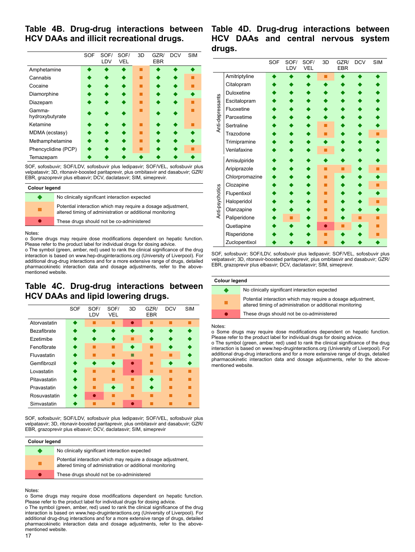#### **Table 4B. Drug-drug interactions between HCV DAAs and illicit recreational drugs.**

|                           | <b>SOF</b> | SOF/<br>LDV | SOF/<br><b>VEL</b> | 3D | GZR/<br><b>EBR</b> | <b>DCV</b> | <b>SIM</b> |
|---------------------------|------------|-------------|--------------------|----|--------------------|------------|------------|
| Amphetamine               |            |             |                    |    |                    |            |            |
| Cannabis                  |            |             |                    |    |                    |            |            |
| Cocaine                   |            |             |                    |    |                    |            |            |
| Diamorphine               |            |             |                    |    |                    |            |            |
| Diazepam                  |            |             |                    |    |                    |            |            |
| Gamma-<br>hydroxybutyrate |            |             |                    |    |                    |            |            |
| Ketamine                  |            |             |                    |    |                    |            |            |
| MDMA (ecstasy)            |            |             |                    |    |                    |            |            |
| Methamphetamine           |            |             |                    |    |                    |            |            |
| Phencyclidine (PCP)       |            |             |                    |    |                    |            |            |
| Temazepam                 |            |             |                    |    |                    |            |            |

SOF, sofosbuvir; SOF/LDV, sofosbuvir plus ledipasvir; SOF/VEL, sofosbuvir plus velpatasvir; 3D, ritonavir-boosted paritaprevir, plus ombitasvir and dasabuvir; GZR/ EBR, grazoprevir plus elbasvir; DCV, daclatasvir; SIM, simeprevir.

#### **Colour legend**

| No clinically significant interaction expected                                                                            |
|---------------------------------------------------------------------------------------------------------------------------|
| Potential interaction which may require a dosage adjustment,<br>altered timing of administration or additional monitoring |
| These drugs should not be co-administered                                                                                 |

#### Notes:

o Some drugs may require dose modifications dependent on hepatic function. Please refer to the product label for individual drugs for dosing advice.

o The symbol (green, amber, red) used to rank the clinical significance of the drug interaction is based on www.hep-druginteractions.org (University of Liverpool). For additional drug-drug interactions and for a more extensive range of drugs, detailed pharmacokinetic interaction data and dosage adjustments, refer to the abovementioned website.

#### **Table 4C. Drug-drug interactions between HCV DAAs and lipid lowering drugs.**

|              | <b>SOF</b> | SOF/<br>LDV | SOF/<br>VEL | 3D | GZR/<br><b>EBR</b> | <b>DCV</b> | <b>SIM</b> |
|--------------|------------|-------------|-------------|----|--------------------|------------|------------|
| Atorvastatin |            |             |             |    |                    |            |            |
| Bezafibrate  |            |             |             |    |                    |            |            |
| Ezetimibe    |            |             |             |    |                    |            |            |
| Fenofibrate  |            |             |             |    |                    |            |            |
| Fluvastatin  |            |             |             |    |                    |            |            |
| Gemfibrozil  |            |             |             |    |                    |            |            |
| Lovastatin   |            |             |             |    |                    |            |            |
| Pitavastatin |            |             |             |    |                    |            |            |
| Pravastatin  |            |             |             |    |                    |            |            |
| Rosuvastatin |            |             |             |    |                    |            |            |
| Simvastatin  |            |             |             |    |                    |            |            |

SOF, sofosbuvir; SOF/LDV, sofosbuvir plus ledipasvir; SOF/VEL, sofosbuvir plus velpatasvir; 3D, ritonavir-boosted paritaprevir, plus ombitasvir and dasabuvir; GZR/ EBR, grazoprevir plus elbasvir; DCV, daclatasvir; SIM, simeprevir

| Colour legend |                                                                                                                           |  |  |  |  |
|---------------|---------------------------------------------------------------------------------------------------------------------------|--|--|--|--|
|               | No clinically significant interaction expected                                                                            |  |  |  |  |
|               | Potential interaction which may require a dosage adjustment,<br>altered timing of administration or additional monitoring |  |  |  |  |
|               | These drugs should not be co-administered                                                                                 |  |  |  |  |
|               |                                                                                                                           |  |  |  |  |

Notes:

o Some drugs may require dose modifications dependent on hepatic function. Please refer to the product label for individual drugs for dosing advice.

o The symbol (green, amber, red) used to rank the clinical significance of the drug interaction is based on www.hep-druginteractions.org (University of Liverpool). For additional drug-drug interactions and for a more extensive range of drugs, detailed pharmacokinetic interaction data and dosage adjustments, refer to the abovementioned website.

#### **Table 4D. Drug-drug interactions between HCV DAAs and central nervous system drugs.**

|                  |                | <b>SOF</b> | SOF/<br>LDV | SOF/<br><b>VEL</b> | 3D | GZR/<br><b>EBR</b> | <b>DCV</b> | <b>SIM</b> |
|------------------|----------------|------------|-------------|--------------------|----|--------------------|------------|------------|
|                  | Amitriptyline  |            |             |                    |    |                    |            |            |
|                  | Citalopram     |            |             |                    |    |                    |            |            |
|                  | Duloxetine     |            |             |                    |    |                    |            |            |
|                  | Escitalopram   |            |             |                    |    |                    |            |            |
|                  | Fluoxetine     |            |             |                    |    |                    |            |            |
| Anti-depressants | Paroxetime     |            |             |                    |    |                    |            |            |
|                  | Sertraline     |            |             |                    |    |                    |            |            |
|                  | Trazodone      |            |             |                    |    |                    |            |            |
|                  | Trimipramine   |            |             |                    |    |                    |            |            |
|                  | Venlafaxine    |            |             |                    |    |                    |            |            |
|                  | Amisulpiride   |            |             |                    |    |                    |            |            |
|                  | Aripiprazole   |            |             |                    |    |                    |            |            |
|                  | Chlorpromazine |            |             |                    |    |                    |            |            |
|                  | Clozapine      |            |             |                    |    |                    |            |            |
| Anti-psychotics  | Flupentixol    |            |             |                    |    |                    |            |            |
|                  | Haloperidol    |            |             |                    |    |                    |            |            |
|                  | Olanzapine     |            |             |                    |    |                    |            |            |
|                  | Paliperidone   |            |             |                    |    |                    |            |            |
|                  | Quetiapine     |            |             |                    |    |                    |            |            |
|                  | Risperidone    |            |             |                    |    |                    |            |            |
|                  | Zuclopentixol  |            |             |                    |    |                    |            |            |

SOF, sofosbuvir; SOF/LDV, sofosbuvir plus ledipasvir; SOF/VEL, sofosbuvir plus velpatasvir; 3D, ritonavir-boosted paritaprevir, plus ombitasvir and dasabuvir; GZR/ EBR, grazoprevir plus elbasvir; DCV, daclatasvir; SIM, simeprevir.

| Colour legend   |                                                                                                                           |  |  |  |  |
|-----------------|---------------------------------------------------------------------------------------------------------------------------|--|--|--|--|
| <b>START OF</b> | No clinically significant interaction expected                                                                            |  |  |  |  |
|                 | Potential interaction which may require a dosage adjustment,<br>altered timing of administration or additional monitoring |  |  |  |  |
|                 | These drugs should not be co-administered                                                                                 |  |  |  |  |
|                 |                                                                                                                           |  |  |  |  |

Notes:

o Some drugs may require dose modifications dependent on hepatic function. Please refer to the product label for individual drugs for dosing advice.

o The symbol (green, amber, red) used to rank the clinical significance of the drug interaction is based on www.hep-druginteractions.org (University of Liverpool). For additional drug-drug interactions and for a more extensive range of drugs, detailed pharmacokinetic interaction data and dosage adjustments, refer to the abovementioned website.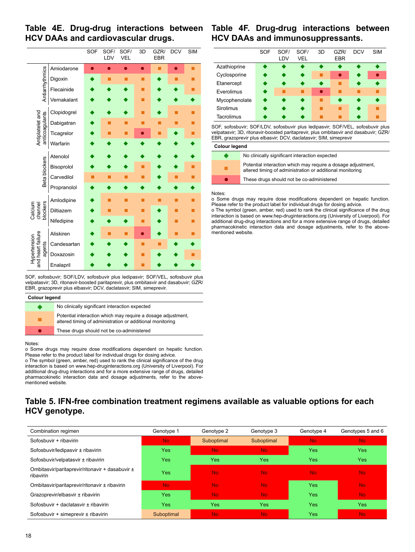#### **Table 4E. Drug-drug interactions between HCV DAAs and cardiovascular drugs.**



SOF, sofosbuvir; SOF/LDV, sofosbuvir plus ledipasvir; SOF/VEL, sofosbuvir plus velpatasvir; 3D, ritonavir-boosted paritaprevir, plus ombitasvir and dasabuvir; GZR/ EBR, grazoprevir plus elbasvir; DCV, daclatasvir; SIM, simeprevir.

| <b>Colour legend</b> |                                                                                                                           |  |  |  |  |
|----------------------|---------------------------------------------------------------------------------------------------------------------------|--|--|--|--|
| . .                  | No clinically significant interaction expected                                                                            |  |  |  |  |
|                      | Potential interaction which may require a dosage adjustment,<br>altered timing of administration or additional monitoring |  |  |  |  |
| $\bullet$            | These drugs should not be co-administered                                                                                 |  |  |  |  |
|                      |                                                                                                                           |  |  |  |  |

#### Notes:

o Some drugs may require dose modifications dependent on hepatic function. Please refer to the product label for individual drugs for dosing advice.

o The symbol (green, amber, red) used to rank the clinical significance of the drug interaction is based on www.hep-druginteractions.org (University of Liverpool). For additional drug-drug interactions and for a more extensive range of drugs, detailed pharmacokinetic interaction data and dosage adjustments, refer to the abovementioned website.

## **Table 4F. Drug-drug interactions between HCV DAAs and immunosuppressants.**

|               | SOF | SOF/<br>LDV | SOF/<br>VEL | 3D        | GZR/<br><b>EBR</b> | <b>DCV</b> | <b>SIM</b> |
|---------------|-----|-------------|-------------|-----------|--------------------|------------|------------|
| Azathioprine  |     |             |             |           |                    |            | ●          |
| Cyclosporine  |     | ▲           | $\bullet$   |           | ●                  | ♦          | $\bullet$  |
| Etanercept    |     | ▲           | ◆           | ◆         |                    |            | ◆          |
| Everolimus    | ▲   |             |             | $\bullet$ |                    |            |            |
| Mycophenolate | ◢   |             | ▲           |           |                    |            | ◆          |
| Sirolimus     |     |             |             |           |                    |            |            |
| Tacrolimus    |     |             |             |           |                    |            |            |

SOF, sofosbuvir; SOF/LDV, sofosbuvir plus ledipasvir; SOF/VEL, sofosbuvir plus velpatasvir; 3D, ritonavir-boosted paritaprevir, plus ombitasvir and dasabuvir; GZR/ EBR, grazoprevir plus elbasvir; DCV, daclatasvir; SIM, simeprevir

| Colour legend |  |
|---------------|--|
|---------------|--|

| $\bullet$ | No clinically significant interaction expected                                                                            |
|-----------|---------------------------------------------------------------------------------------------------------------------------|
|           | Potential interaction which may require a dosage adjustment,<br>altered timing of administration or additional monitoring |
|           | These drugs should not be co-administered                                                                                 |

#### Notes:

o Some drugs may require dose modifications dependent on hepatic function. Please refer to the product label for individual drugs for dosing advice.

o The symbol (green, amber, red) used to rank the clinical significance of the drug interaction is based on www.hep-druginteractions.org (University of Liverpool). For additional drug-drug interactions and for a more extensive range of drugs, detailed pharmacokinetic interaction data and dosage adjustments, refer to the abovementioned website.

## **Table 5. IFN-free combination treatment regimens available as valuable options for each HCV genotype.**

| Combination regimen                                          | Genotype 1 | Genotype 2     | Genotype 3     | Genotype 4 | Genotypes 5 and 6 |
|--------------------------------------------------------------|------------|----------------|----------------|------------|-------------------|
| Sofosbuvir + ribavirin                                       | No.        | Suboptimal     | Suboptimal     | No.        | No.               |
| Sofosbuvir/ledipasvir ± ribavirin                            | <b>Yes</b> | N <sub>o</sub> | N <sub>o</sub> | <b>Yes</b> | <b>Yes</b>        |
| Sofosbuvir/velpatasvir ± ribavirin                           | <b>Yes</b> | <b>Yes</b>     | Yes            | <b>Yes</b> | <b>Yes</b>        |
| Ombitasvir/paritaprevir/ritonavir + dasabuvir ±<br>ribavirin | <b>Yes</b> | No.            | <b>No</b>      | <b>No</b>  | No.               |
| Ombitasvir/paritaprevir/ritonavir ± ribavirin                | No.        | No.            | <b>No</b>      | <b>Yes</b> | No.               |
| Grazoprevir/elbasvir ± ribavirin                             | Yes        | <b>No</b>      | <b>No</b>      | <b>Yes</b> | No.               |
| Sofosbuvir + daclatasvir ± ribavirin                         | Yes        | <b>Yes</b>     | Yes            | <b>Yes</b> | Yes               |
| Sofosbuvir + simeprevir ± ribavirin                          | Suboptimal | <b>No</b>      | <b>No</b>      | <b>Yes</b> | No.               |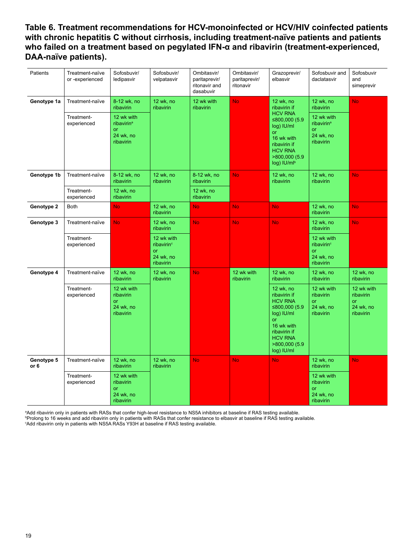**Table 6. Treatment recommendations for HCV-monoinfected or HCV/HIV coinfected patients with chronic hepatitis C without cirrhosis, including treatment-naïve patients and patients who failed on a treatment based on pegylated IFN-α and ribavirin (treatment-experienced, DAA-naïve patients).**

| Patients           | Treatment-naïve<br>or -experienced | Sofosbuvir/<br>ledipasvir                                            | Sofosbuvir/<br>velpatasvir                                                  | Ombitasvir/<br>paritaprevir/<br>ritonavir and<br>dasabuvir | Ombitasvir/<br>paritaprevir/<br>ritonavir | Grazoprevir/<br>elbasvir                                                                                                                                               | Sofosbuvir and<br>daclatasvir                                               | Sofosbuvir<br>and<br>simeprevir                         |
|--------------------|------------------------------------|----------------------------------------------------------------------|-----------------------------------------------------------------------------|------------------------------------------------------------|-------------------------------------------|------------------------------------------------------------------------------------------------------------------------------------------------------------------------|-----------------------------------------------------------------------------|---------------------------------------------------------|
| Genotype 1a        | Treatment-naïve                    | 8-12 wk, no<br>ribavirin                                             | 12 wk, no<br>ribavirin                                                      | 12 wk with<br>ribavirin                                    | <b>No</b>                                 | 12 wk, no<br>ribavirin if                                                                                                                                              | 12 wk, no<br>ribavirin                                                      | <b>No</b>                                               |
|                    | Treatment-<br>experienced          | 12 wk with<br>ribavirin <sup>a</sup><br>or<br>24 wk, no<br>ribavirin |                                                                             |                                                            |                                           | <b>HCV RNA</b><br>≤800,000 $(5.9)$<br>log) IU/ml<br>or<br>16 wk with<br>ribavirin if<br><b>HCV RNA</b><br>>800,000 (5.9<br>log) IU/mlb                                 | 12 wk with<br>ribavirin <sup>a</sup><br>or<br>24 wk, no<br>ribavirin        |                                                         |
| Genotype 1b        | Treatment-naïve                    | 8-12 wk, no<br>ribavirin                                             | 12 wk, no<br>ribavirin                                                      | 8-12 wk, no<br>ribavirin                                   | <b>No</b>                                 | 12 wk, no<br>ribavirin                                                                                                                                                 | 12 wk, no<br>ribavirin                                                      | <b>No</b>                                               |
|                    | Treatment-<br>experienced          | 12 wk, no<br>ribavirin                                               |                                                                             | 12 wk, no<br>ribavirin                                     |                                           |                                                                                                                                                                        |                                                                             |                                                         |
| Genotype 2         | <b>Both</b>                        | <b>No</b>                                                            | 12 wk, no<br>ribavirin                                                      | No.                                                        | <b>No</b>                                 | <b>No</b>                                                                                                                                                              | 12 wk, no<br>ribavirin                                                      | <b>No</b>                                               |
| Genotype 3         | Treatment-naïve                    | <b>No</b>                                                            | 12 wk, no<br>ribavirin                                                      | No.                                                        | No.                                       | <b>No</b>                                                                                                                                                              | 12 wk, no<br>ribavirin                                                      | No.                                                     |
|                    | Treatment-<br>experienced          |                                                                      | 12 wk with<br>ribavirin <sup>c</sup><br><b>or</b><br>24 wk, no<br>ribavirin |                                                            |                                           |                                                                                                                                                                        | 12 wk with<br>ribavirin <sup>c</sup><br><b>or</b><br>24 wk, no<br>ribavirin |                                                         |
| Genotype 4         | Treatment-naïve                    | 12 wk, no<br>ribavirin                                               | 12 wk, no<br>ribavirin                                                      | No.                                                        | 12 wk with<br>ribavirin                   | 12 wk, no<br>ribavirin                                                                                                                                                 | 12 wk, no<br>ribavirin                                                      | 12 wk, no<br>ribavirin                                  |
|                    | Treatment-<br>experienced          | 12 wk with<br>ribavirin<br>or<br>24 wk, no<br>ribavirin              |                                                                             |                                                            |                                           | 12 wk, no<br>ribavirin if<br><b>HCV RNA</b><br>≤800,000 (5.9<br>log) IU/ml<br><b>or</b><br>16 wk with<br>ribavirin if<br><b>HCV RNA</b><br>>800,000 (5.9<br>log) IU/ml | 12 wk with<br>ribavirin<br>or<br>24 wk, no<br>ribavirin                     | 12 wk with<br>ribavirin<br>or<br>24 wk, no<br>ribavirin |
| Genotype 5<br>or 6 | Treatment-naïve                    | 12 wk, no<br>ribavirin                                               | 12 wk, no<br>ribavirin                                                      | No.                                                        | <b>No</b>                                 | <b>No</b>                                                                                                                                                              | 12 wk, no<br>ribavirin                                                      | <b>No</b>                                               |
|                    | Treatment-<br>experienced          | 12 wk with<br>ribavirin<br>or<br>24 wk, no<br>ribavirin              |                                                                             |                                                            |                                           |                                                                                                                                                                        | 12 wk with<br>ribavirin<br>or<br>24 wk, no<br>ribavirin                     |                                                         |

a Add ribavirin only in patients with RASs that confer high-level resistance to NS5A inhibitors at baseline if RAS testing available. <sup>ь</sup>Prolong to 16 weeks and add ribavirin only in patients with RASs that confer resistance to elbasvir at baseline if RAS testing available.<br>°Add ribavirin only in patients with NS5A RASs Y93H at baseline if RAS testing a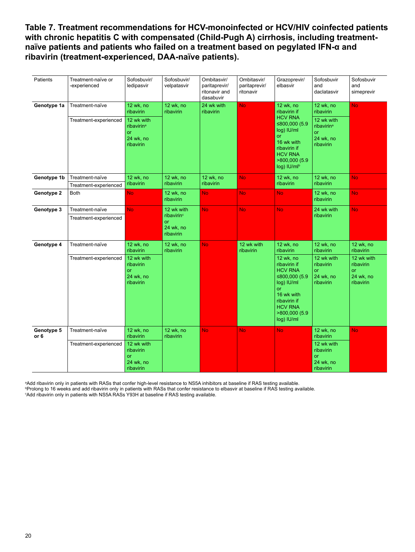**Table 7. Treatment recommendations for HCV-monoinfected or HCV/HIV coinfected patients**  with chronic hepatitis C with compensated (Child-Pugh A) cirrhosis, including treatment**naïve patients and patients who failed on a treatment based on pegylated IFN-α and ribavirin (treatment-experienced, DAA-naïve patients).**

| Patients           | Treatment-naïve or<br>-experienced | Sofosbuvir/<br>ledipasvir                                            | Sofosbuvir/<br>velpatasvir                                    | Ombitasvir/<br>paritaprevir/<br>ritonavir and<br>dasabuvir | Ombitasvir/<br>paritaprevir/<br>ritonavir | Grazoprevir/<br>elbasvir                                                                                                                                           | Sofosbuvir<br>and<br>daclatasvir                                            | Sofosbuvir<br>and<br>simeprevir                                |
|--------------------|------------------------------------|----------------------------------------------------------------------|---------------------------------------------------------------|------------------------------------------------------------|-------------------------------------------|--------------------------------------------------------------------------------------------------------------------------------------------------------------------|-----------------------------------------------------------------------------|----------------------------------------------------------------|
| Genotype 1a        | Treatment-naïve                    | 12 wk, no<br>ribavirin                                               | 12 wk, no<br>ribavirin                                        | 24 wk with<br>ribavirin                                    | <b>No</b>                                 | 12 wk, no<br>ribavirin if                                                                                                                                          | 12 wk, no<br>ribavirin                                                      | <b>No</b>                                                      |
|                    | Treatment-experienced              | 12 wk with<br>ribavirin <sup>a</sup><br>or<br>24 wk, no<br>ribavirin |                                                               |                                                            |                                           | <b>HCV RNA</b><br>≤800,000 (5.9<br>log) IU/ml<br>or<br>16 wk with<br>ribavirin if<br><b>HCV RNA</b><br>>800,000 (5.9<br>log) IU/mlb                                | 12 wk with<br>ribavirin <sup>a</sup><br><b>or</b><br>24 wk, no<br>ribavirin |                                                                |
| Genotype 1b        | Treatment-naïve                    | 12 wk, no                                                            | 12 wk, no                                                     | 12 wk, no                                                  | <b>No</b>                                 | 12 wk, no                                                                                                                                                          | 12 wk, no                                                                   | <b>No</b>                                                      |
|                    | Treatment-experienced              | ribavirin                                                            | <b>ribavirin</b>                                              | ribavirin                                                  |                                           | <b>ribavirin</b>                                                                                                                                                   | ribavirin                                                                   |                                                                |
| Genotype 2         | <b>Both</b>                        | <b>No</b>                                                            | 12 wk, no<br>ribavirin                                        | No.                                                        | <b>No</b>                                 | <b>No</b>                                                                                                                                                          | 12 wk, no<br>ribavirin                                                      | <b>No</b>                                                      |
| Genotype 3         | Treatment-naïve                    | <b>No</b>                                                            | 12 wk with                                                    | <b>No</b>                                                  | <b>No</b>                                 | <b>No</b>                                                                                                                                                          | 24 wk with                                                                  | <b>No</b>                                                      |
|                    | Treatment-experienced              |                                                                      | ribavirin <sup>c</sup><br><b>or</b><br>24 wk, no<br>ribavirin |                                                            |                                           |                                                                                                                                                                    | ribavirin                                                                   |                                                                |
| Genotype 4         | Treatment-naïve                    | 12 wk, no<br>ribavirin                                               | 12 wk, no<br>ribavirin                                        | <b>No</b>                                                  | 12 wk with<br>ribavirin                   | 12 wk, no<br>ribavirin                                                                                                                                             | 12 wk, no<br>ribavirin                                                      | 12 wk, no<br>ribavirin                                         |
|                    | Treatment-experienced              | 12 wk with<br>ribavirin<br>or<br>24 wk, no<br>ribavirin              |                                                               |                                                            |                                           | 12 wk, no<br>ribavirin if<br><b>HCV RNA</b><br>≤800,000 $(5.9)$<br>log) IU/ml<br>or<br>16 wk with<br>ribavirin if<br><b>HCV RNA</b><br>>800,000 (5.9<br>log) IU/ml | 12 wk with<br>ribavirin<br><b>or</b><br>24 wk, no<br>ribavirin              | 12 wk with<br>ribavirin<br><b>or</b><br>24 wk, no<br>ribavirin |
| Genotype 5<br>or 6 | Treatment-naïve                    | 12 wk, no<br>ribavirin                                               | 12 wk, no<br>ribavirin                                        | <b>No</b>                                                  | <b>No</b>                                 | No.                                                                                                                                                                | 12 wk, no<br>ribavirin                                                      | <b>No</b>                                                      |
|                    | Treatment-experienced              | 12 wk with<br>ribavirin<br><b>or</b><br>24 wk, no<br>ribavirin       |                                                               |                                                            |                                           |                                                                                                                                                                    | 12 wk with<br>ribavirin<br><b>or</b><br>24 wk, no<br>ribavirin              |                                                                |

a Add ribavirin only in patients with RASs that confer high-level resistance to NS5A inhibitors at baseline if RAS testing available. <sup>ь</sup>Prolong to 16 weeks and add ribavirin only in patients with RASs that confer resistance to elbasvir at baseline if RAS testing available.<br>°Add ribavirin only in patients with NS5A RASs Y93H at baseline if RAS testing a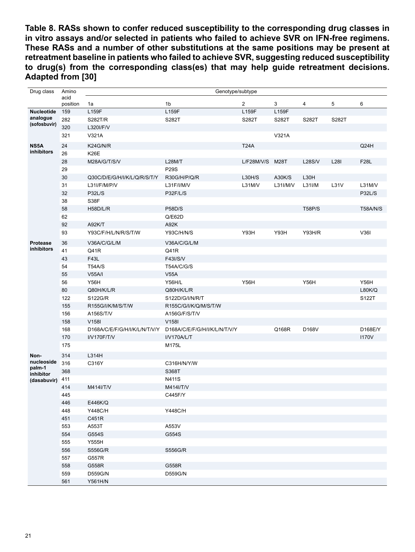**Table 8. RASs shown to confer reduced susceptibility to the corresponding drug classes in in vitro assays and/or selected in patients who failed to achieve SVR on IFN-free regimens. These RASs and a number of other substitutions at the same positions may be present at retreatment baseline in patients who failed to achieve SVR, suggesting reduced susceptibility to drug(s) from the corresponding class(es) that may help guide retreatment decisions. Adapted from [30]**

| Drug class                    | Amino    |                               | Genotype/subtype              |                 |          |               |             |                 |
|-------------------------------|----------|-------------------------------|-------------------------------|-----------------|----------|---------------|-------------|-----------------|
|                               | acid     |                               |                               |                 |          |               |             |                 |
|                               | position | 1a                            | 1b                            | $\overline{2}$  | 3        | 4             | 5           | 6               |
| <b>Nucleotide</b><br>analogue | 159      | L159F                         | L159F                         | L159F           | L159F    |               |             |                 |
| (sofosbuvir)                  | 282      | <b>S282T/R</b>                | S282T                         | S282T           | S282T    | S282T         | S282T       |                 |
|                               | 320      | L320I/F/V                     |                               |                 |          |               |             |                 |
|                               | 321      | V321A                         |                               |                 | V321A    |               |             |                 |
| NS5A                          | 24       | K24G/N/R                      |                               | <b>T24A</b>     |          |               |             | Q24H            |
| inhibitors                    | 26       | <b>K26E</b>                   |                               |                 |          |               |             |                 |
|                               | 28       | M28A/G/T/S/V                  | <b>L28M/T</b>                 | L/F28M/V/S M28T |          | <b>L28S/V</b> | <b>L28I</b> | <b>F28L</b>     |
|                               | 29       |                               | <b>P29S</b>                   |                 |          |               |             |                 |
|                               | 30       | Q30C/D/E/G/H/I/K/L/Q/R/S/T/Y  | R30G/H/P/Q/R                  | L30H/S          | A30K/S   | L30H          |             |                 |
|                               | 31       | L31I/F/M/P/V                  | L31F/I/M/V                    | L31M/V          | L31I/M/V | L31I/M        | L31V        | L31M/V          |
|                               | 32       | <b>P32L/S</b>                 | P32F/L/S                      |                 |          |               |             | <b>P32L/S</b>   |
|                               | 38       | S38F                          |                               |                 |          |               |             |                 |
|                               | 58       | H58D/L/R                      | <b>P58D/S</b>                 |                 |          | <b>T58P/S</b> |             | <b>T58A/N/S</b> |
|                               | 62       |                               | Q/EG2D                        |                 |          |               |             |                 |
|                               | 92       | A92K/T                        | A92K                          |                 |          |               |             |                 |
|                               | 93       | Y93C/F/H/L/N/R/S/T/W          | <b>Y93C/H/N/S</b>             | Y93H            | Y93H     | <b>Y93H/R</b> |             | V36I            |
| Protease                      | 36       | V36A/C/G/L/M                  | V36A/C/G/L/M                  |                 |          |               |             |                 |
| inhibitors                    | 41       | Q41R                          | Q41R                          |                 |          |               |             |                 |
|                               | 43       | F43L                          | F43I/S/V                      |                 |          |               |             |                 |
|                               | 54       | <b>T54A/S</b>                 | <b>T54A/C/G/S</b>             |                 |          |               |             |                 |
|                               | 55       | <b>V55A/I</b>                 | V55A                          |                 |          |               |             |                 |
|                               | 56       | <b>Y56H</b>                   | <b>Y56H/L</b>                 | <b>Y56H</b>     |          | <b>Y56H</b>   |             | Y56H            |
|                               | 80       | Q80H/K/L/R                    | Q80H/K/L/R                    |                 |          |               |             | <b>L80K/Q</b>   |
|                               | 122      | S122G/R                       | S122D/G/I/N/R/T               |                 |          |               |             | S122T           |
|                               | 155      | R155G/I/K/M/S/T/W             | R155C/G/I/K/Q/M/S/T/W         |                 |          |               |             |                 |
|                               | 156      | A156S/T/V                     | A156G/F/S/T/V                 |                 |          |               |             |                 |
|                               | 158      | V <sub>158</sub>              | V158I                         |                 |          |               |             |                 |
|                               | 168      | D168A/C/E/F/G/H/I/K/L/N/T/V/Y | D168A/C/E/F/G/H/I/K/L/N/T/V/Y |                 | Q168R    | D168V         |             | D168E/Y         |
|                               | 170      | I/V170F/T/V                   | I/V170A/L/T                   |                 |          |               |             | <b>I170V</b>    |
|                               | 175      |                               | M175L                         |                 |          |               |             |                 |
| Non-                          | 314      | L314H                         |                               |                 |          |               |             |                 |
| nucleoside                    | 316      | C316Y                         | C316H/N/Y/W                   |                 |          |               |             |                 |
| palm-1<br>inhibitor           | 368      |                               | S368T                         |                 |          |               |             |                 |
| (dasabuvir)                   | 411      |                               | <b>N411S</b>                  |                 |          |               |             |                 |
|                               | 414      | M414I/T/V                     | M414I/T/V                     |                 |          |               |             |                 |
|                               | 445      |                               | C445F/Y                       |                 |          |               |             |                 |
|                               | 446      | E446K/Q                       |                               |                 |          |               |             |                 |
|                               | 448      | <b>Y448C/H</b>                | <b>Y448C/H</b>                |                 |          |               |             |                 |
|                               | 451      | C451R                         |                               |                 |          |               |             |                 |
|                               | 553      | A553T                         | A553V                         |                 |          |               |             |                 |
|                               | 554      | G554S                         | G554S                         |                 |          |               |             |                 |
|                               | 555      | Y555H                         |                               |                 |          |               |             |                 |
|                               | 556      | S556G/R                       | <b>S556G/R</b>                |                 |          |               |             |                 |
|                               | 557      | G557R                         |                               |                 |          |               |             |                 |
|                               | 558      | G558R                         | G558R                         |                 |          |               |             |                 |
|                               | 559      | D559G/N                       | D559G/N                       |                 |          |               |             |                 |
|                               | 561      | Y561H/N                       |                               |                 |          |               |             |                 |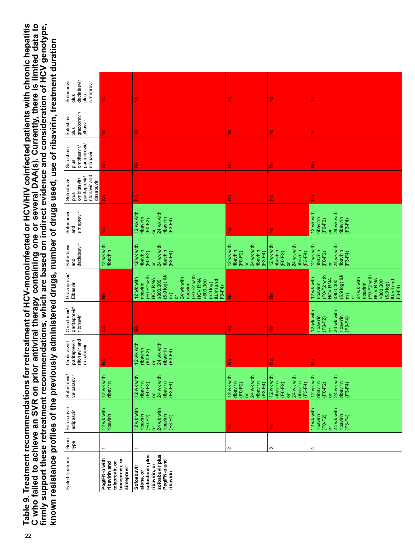Table 9. Treatment recommendations for retreatment of HCV-monoinfected or HCV/HIV coinfected patients with chronic hepatitis<br>C who failed to achieve an SVR on prior antiviral therapy containing one or several DAA(s). Curre 22**Table 9. Treatment recommendations for retreatment of HCV-monoinfected or HCV/HIV coinfected patients with chronic hepatitis C who failed to achieve an SVR on prior antiviral therapy containing one or several DAA(s). Currently, there is limited data to firmly support these retreatment recommendations, which are based on indirect evidence and consideration of HCV genotype,**  known resistance profiles of the previously administered drugs, number of drugs used, use of ribavirin, treatment duration **known resistance profiles of the previously administered drugs, number of drugs used, use of ribavirin, treatment duration**

| daclatasvir<br>Sofosbuvir<br>simeprevir<br>plus<br>plus                         | $\frac{1}{2}$                                                                    | $\frac{1}{2}$                                                                                                                                                                                                                                      | $\frac{1}{2}$                                                                                                | $\frac{9}{2}$                                                                                       | $\frac{1}{2}$                                                                                                                                                                                                                             |
|---------------------------------------------------------------------------------|----------------------------------------------------------------------------------|----------------------------------------------------------------------------------------------------------------------------------------------------------------------------------------------------------------------------------------------------|--------------------------------------------------------------------------------------------------------------|-----------------------------------------------------------------------------------------------------|-------------------------------------------------------------------------------------------------------------------------------------------------------------------------------------------------------------------------------------------|
| grazoprevir/<br>elbasvir<br>Sofosbuvir<br>plus                                  | $\frac{1}{2}$                                                                    | $\frac{1}{2}$                                                                                                                                                                                                                                      | $\frac{1}{2}$                                                                                                | $\frac{1}{2}$                                                                                       | $\frac{1}{2}$                                                                                                                                                                                                                             |
| paritaprevir/<br>Sofosbuvir<br>ombitasvir/<br>ritonavir<br>plus                 | $\frac{1}{2}$                                                                    | $\frac{1}{2}$                                                                                                                                                                                                                                      | $\frac{1}{2}$                                                                                                | $\frac{1}{2}$                                                                                       | $\frac{1}{2}$                                                                                                                                                                                                                             |
| ritonavir and<br>paritaprevir<br>ombitasvir/<br>Sofosbuvir<br>dasabuvir<br>plus | $\frac{1}{2}$                                                                    | $\frac{1}{2}$                                                                                                                                                                                                                                      | $\frac{1}{2}$                                                                                                | $\frac{1}{2}$                                                                                       | $\frac{1}{2}$                                                                                                                                                                                                                             |
| Sofosbuvir<br>simeprevir<br>and                                                 | $\frac{1}{2}$                                                                    | 12 wk with<br>24 wk with<br>ribavirin<br>ribavirin<br>$(F0-F2)$<br>$(F3 - F4)$<br>ă                                                                                                                                                                | $\frac{9}{2}$                                                                                                | $\frac{9}{2}$                                                                                       | 12 wk with<br>24 wk with<br>ribavirin<br>ribavirin<br>$(F0-F2)$<br>$(F3-F4)$<br>ă                                                                                                                                                         |
| daclatasvir<br>Sofosbuvir<br>and                                                | 12 wk with<br>ribavirin                                                          | 12 wk with<br>24 wk with<br>ribavirin<br>ribavirin<br>$(F0-F2)$<br>$(F3 - F4)$<br>ă                                                                                                                                                                | 12 wk with<br>24 wk with<br>ribavirin<br>ribavirin<br>$(F0-F2)$<br>$(F3 - F4)$<br>ă                          | 24 wk with<br>12 wk with<br>ribavirin<br>ribavirin<br>$(F3 - F4)$<br>$(F0 - F2)$<br>ð               | 12 wk with<br>24 wk with<br>ribavirin<br>ribavirin<br>(F3-F4)<br>$(F0-F2)$<br>ă                                                                                                                                                           |
| Grazoprevir/<br>Elbasvir                                                        | $\frac{1}{2}$                                                                    | (F0-F2 with<br>HCV RNA<br>>800,000<br>(F0-F2 with<br>HCV RNA<br>$(5.9 log)$ IU/<br>12 wk with<br>24 wk with<br><b>≤800,000</b><br>IU/ml and<br>ribavirin<br>ribavirin<br>$(5.9 \log)$<br>F3-F4)<br>$\widehat{\overline{E}}$<br>$\overline{\sigma}$ | $\frac{1}{2}$                                                                                                | $\frac{9}{2}$                                                                                       | (F0-F2 with<br>HCV RNA<br>≤800,000<br>$(5.9 log)$ IU/<br>(F0-F2 with<br>HCV RNA<br>12 wk with<br>24 wk with<br>>800,000<br>IU/ml and<br>ribavirin<br>ribavirin<br>(5.9 <sub>log</sub> )<br>F3-F4)<br>$\widehat{\overline{\epsilon}}$<br>ă |
| paritaprevir/<br>Ombitasvir/<br>ritonavir                                       | $\frac{1}{2}$                                                                    | $\frac{1}{2}$                                                                                                                                                                                                                                      | $\frac{1}{2}$                                                                                                | $\frac{9}{2}$                                                                                       | 12 wk with<br>24 wk with<br>ribavirin<br>$(FO-F2)$<br>$(F3 - F4)$<br>ă                                                                                                                                                                    |
| ritonavir and<br>dasabuvir<br>paritaprevir/<br>Ombitasvir/                      | $\frac{1}{2}$                                                                    | 12 wk with<br>24 wk with<br>ribavirin<br>ribavirin<br>$(F0-F2)$<br>$(F3 - F4)$<br>ă                                                                                                                                                                | $\frac{9}{2}$                                                                                                | $\frac{1}{2}$                                                                                       | $\frac{1}{2}$                                                                                                                                                                                                                             |
| Sofosbuvir/<br>velpatasvir                                                      | 12 wk with<br>ribavirin                                                          | 12 wk with<br>24 wk with<br>ribavirin<br>ribavirin<br>$(F3 - F4)$<br>$(F0-F2)$<br>$\overline{\sigma}$                                                                                                                                              | 12 wk with<br>24 wk with<br>ribavirin<br>ribavirin<br>(F3-F4)<br>$(F0 - F2)$<br>$\overleftarrow{\mathrm{o}}$ | 12 wk with<br>24 wk with<br>ribavirin<br>(F3-F4)<br>ribavirin<br>$(F0 - F2)$<br>$\overline{\sigma}$ | 12 wk with<br>24 wk with<br>ribavirin<br>ribavirin<br>(F3-F4)<br>$(F0 - F2)$<br>$\overline{\sigma}$                                                                                                                                       |
| Sofosbuvir/<br>ledipasvir                                                       | 12 wk with<br>ribavirin                                                          | 12 wk with<br>24 wk with<br>ribavirin<br>ribavirin<br>$(F3 - F4)$<br>$(F0-F2)$<br>ă                                                                                                                                                                | $\frac{1}{2}$                                                                                                | $\frac{9}{2}$                                                                                       | 12 wk with<br>24 wk with<br>ribavirin<br>ribavirin<br>$(F3 - F4)$<br>$(F0-F2)$<br>ŏ                                                                                                                                                       |
| Geno-<br>type                                                                   | $\overline{ }$                                                                   | $\overline{\phantom{0}}$                                                                                                                                                                                                                           | $\sim$                                                                                                       | S                                                                                                   | 4                                                                                                                                                                                                                                         |
| Failed treatment                                                                | PeglFN-a with<br>boceprevir, or<br>ribavirin and<br>telaprevir, or<br>simeprevir | sofosbuvir plus<br>PeglFN-a and<br>sofosbuvir plus<br>ribavirin, or<br>Sofosbuvir<br>alone, or<br>ribavirin                                                                                                                                        |                                                                                                              |                                                                                                     |                                                                                                                                                                                                                                           |